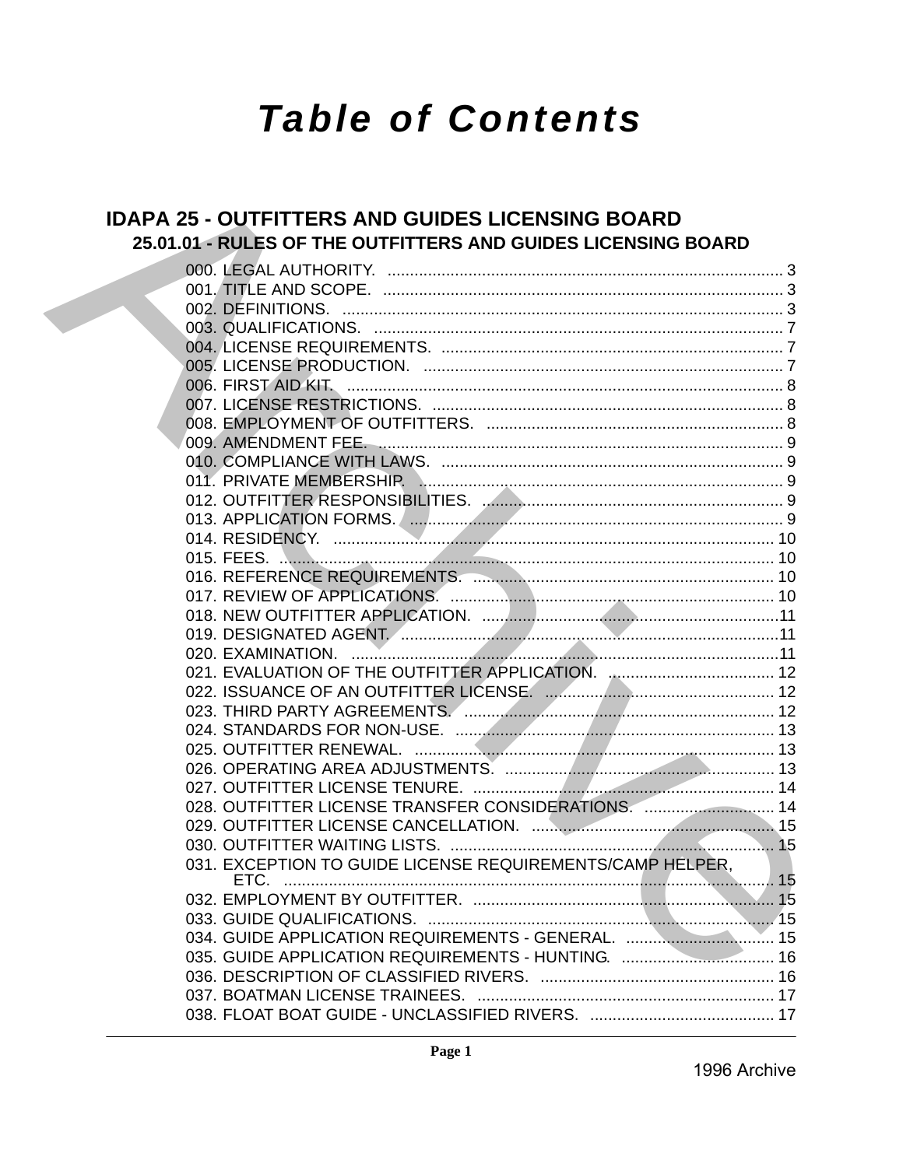# **Table of Contents**

# **IDAPA 25 - OUTFITTERS AND GUIDES LICENSING BOARD** 25.01.01 - RULES OF THE OUTFITTERS AND GUIDES LICENSING BOARD

| 028. OUTFITTER LICENSE TRANSFER CONSIDERATIONS.  14 |  |
|-----------------------------------------------------|--|
|                                                     |  |
|                                                     |  |
|                                                     |  |
|                                                     |  |
|                                                     |  |
|                                                     |  |
| 034. GUIDE APPLICATION REQUIREMENTS - GENERAL.  15  |  |
| 035. GUIDE APPLICATION REQUIREMENTS - HUNTING.  16  |  |
|                                                     |  |
|                                                     |  |
|                                                     |  |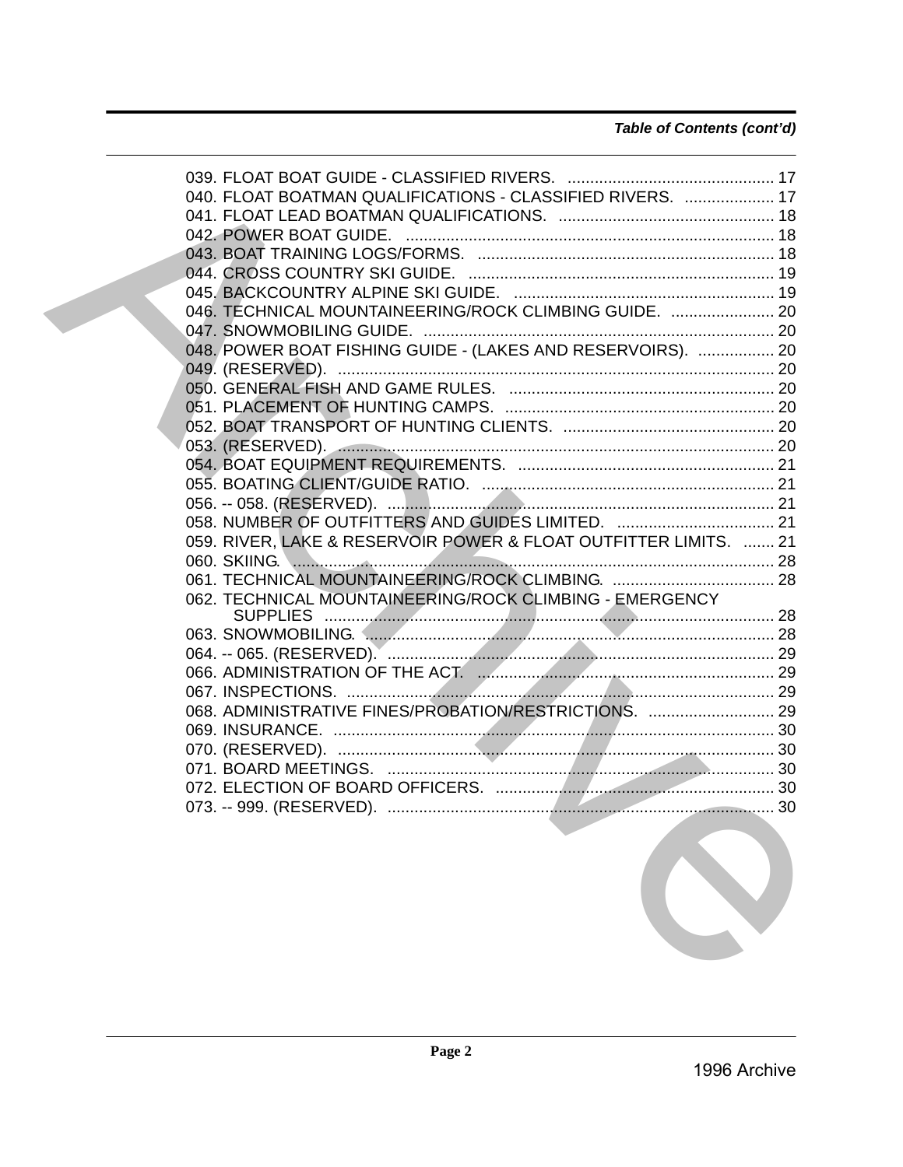| 040. FLOAT BOATMAN QUALIFICATIONS - CLASSIFIED RIVERS.  17       |  |
|------------------------------------------------------------------|--|
|                                                                  |  |
|                                                                  |  |
|                                                                  |  |
|                                                                  |  |
|                                                                  |  |
| 046. TECHNICAL MOUNTAINEERING/ROCK CLIMBING GUIDE.  20           |  |
|                                                                  |  |
| 048. POWER BOAT FISHING GUIDE - (LAKES AND RESERVOIRS).  20      |  |
|                                                                  |  |
|                                                                  |  |
|                                                                  |  |
|                                                                  |  |
|                                                                  |  |
|                                                                  |  |
|                                                                  |  |
|                                                                  |  |
|                                                                  |  |
| 059. RIVER, LAKE & RESERVOIR POWER & FLOAT OUTFITTER LIMITS.  21 |  |
|                                                                  |  |
|                                                                  |  |
| 062. TECHNICAL MOUNTAINEERING/ROCK CLIMBING - EMERGENCY          |  |
|                                                                  |  |
|                                                                  |  |
|                                                                  |  |
|                                                                  |  |
|                                                                  |  |
| 068. ADMINISTRATIVE FINES/PROBATION/RESTRICTIONS.  29            |  |
|                                                                  |  |
|                                                                  |  |
|                                                                  |  |
|                                                                  |  |
|                                                                  |  |

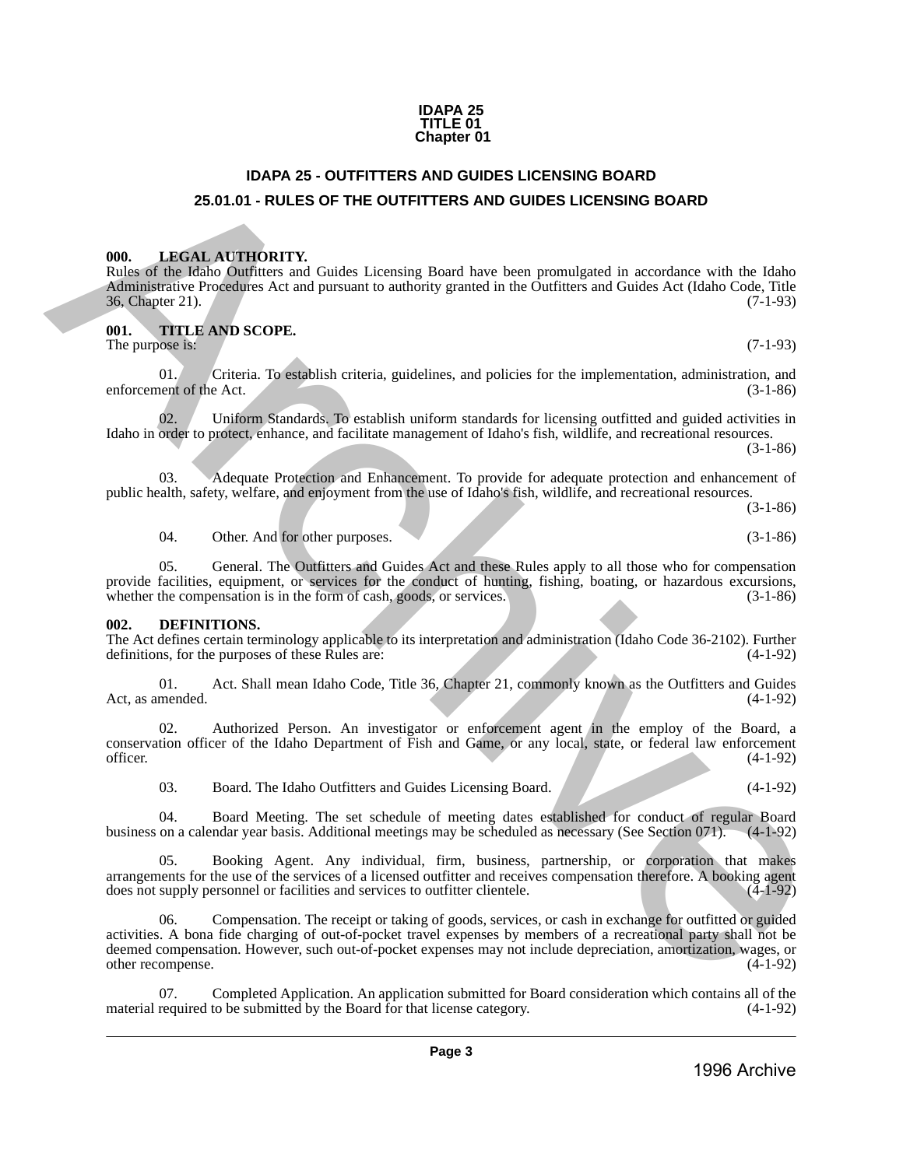### **IDAPA 25 TITLE 01 Chapter 01**

# **IDAPA 25 - OUTFITTERS AND GUIDES LICENSING BOARD 25.01.01 - RULES OF THE OUTFITTERS AND GUIDES LICENSING BOARD**

# <span id="page-2-2"></span><span id="page-2-1"></span>**000. LEGAL AUTHORITY.**

Rules of the Idaho Outfitters and Guides Licensing Board have been promulgated in accordance with the Idaho Administrative Procedures Act and pursuant to authority granted in the Outfitters and Guides Act (Idaho Code, Title 36, Chapter 21). 36, Chapter 21).

# <span id="page-2-3"></span>**001. TITLE AND SCOPE.**

The purpose is:  $(7-1-93)$ 

01. Criteria. To establish criteria, guidelines, and policies for the implementation, administration, and ent of the Act. (3-1-86) enforcement of the Act.

02. Uniform Standards. To establish uniform standards for licensing outfitted and guided activities in Idaho in order to protect, enhance, and facilitate management of Idaho's fish, wildlife, and recreational resources. (3-1-86)

03. Adequate Protection and Enhancement. To provide for adequate protection and enhancement of public health, safety, welfare, and enjoyment from the use of Idaho's fish, wildlife, and recreational resources.

(3-1-86)

04. Other. And for other purposes. (3-1-86)

05. General. The Outfitters and Guides Act and these Rules apply to all those who for compensation provide facilities, equipment, or services for the conduct of hunting, fishing, boating, or hazardous excursions, whether the compensation is in the form of cash, goods, or services. (3-1-86) whether the compensation is in the form of cash, goods, or services.

# <span id="page-2-4"></span>**002. DEFINITIONS.**

The Act defines certain terminology applicable to its interpretation and administration (Idaho Code 36-2102). Further definitions, for the purposes of these Rules are: (4-1-92) definitions, for the purposes of these Rules are:

01. Act. Shall mean Idaho Code, Title 36, Chapter 21, commonly known as the Outfitters and Guides Act, as amended. (4-1-92)

02. Authorized Person. An investigator or enforcement agent in the employ of the Board, a conservation officer of the Idaho Department of Fish and Game, or any local, state, or federal law enforcement officer.  $(4-1-92)$ 

03. Board. The Idaho Outfitters and Guides Licensing Board. (4-1-92)

04. Board Meeting. The set schedule of meeting dates established for conduct of regular Board business on a calendar year basis. Additional meetings may be scheduled as necessary (See Section 071). (4-1-92)

05. Booking Agent. Any individual, firm, business, partnership, or corporation that makes arrangements for the use of the services of a licensed outfitter and receives compensation therefore. A booking agent does not supply personnel or facilities and services to outfitter clientele. (4-1-92) does not supply personnel or facilities and services to outfitter clientele.

<span id="page-2-0"></span>06. Compensation. The receipt or taking of goods, services, or cash in exchange for outfitted or guided activities. A bona fide charging of out-of-pocket travel expenses by members of a recreational party shall not be deemed compensation. However, such out-of-pocket expenses may not include depreciation, amortization, wages, or other recompense. (4-1-92) other recompense. **26.0.1d** + RUES **C-PITTETERS AND QUIDES LICENSING BOARD**<br> **26.0.1d** + RUES **OF THE OUTETTERS AND QUIDES LICENSING BOARD**<br> **ARCHIVENTITY:**<br> **ARCHIVENTITY:**<br> **ARCHIVENTITY:**<br> **ARCHIVENTITY:**<br> **ARCHIVENTITY:**<br> **ARCHIVENTITY** 

Completed Application. An application submitted for Board consideration which contains all of the material required to be submitted by the Board for that license category. (4-1-92)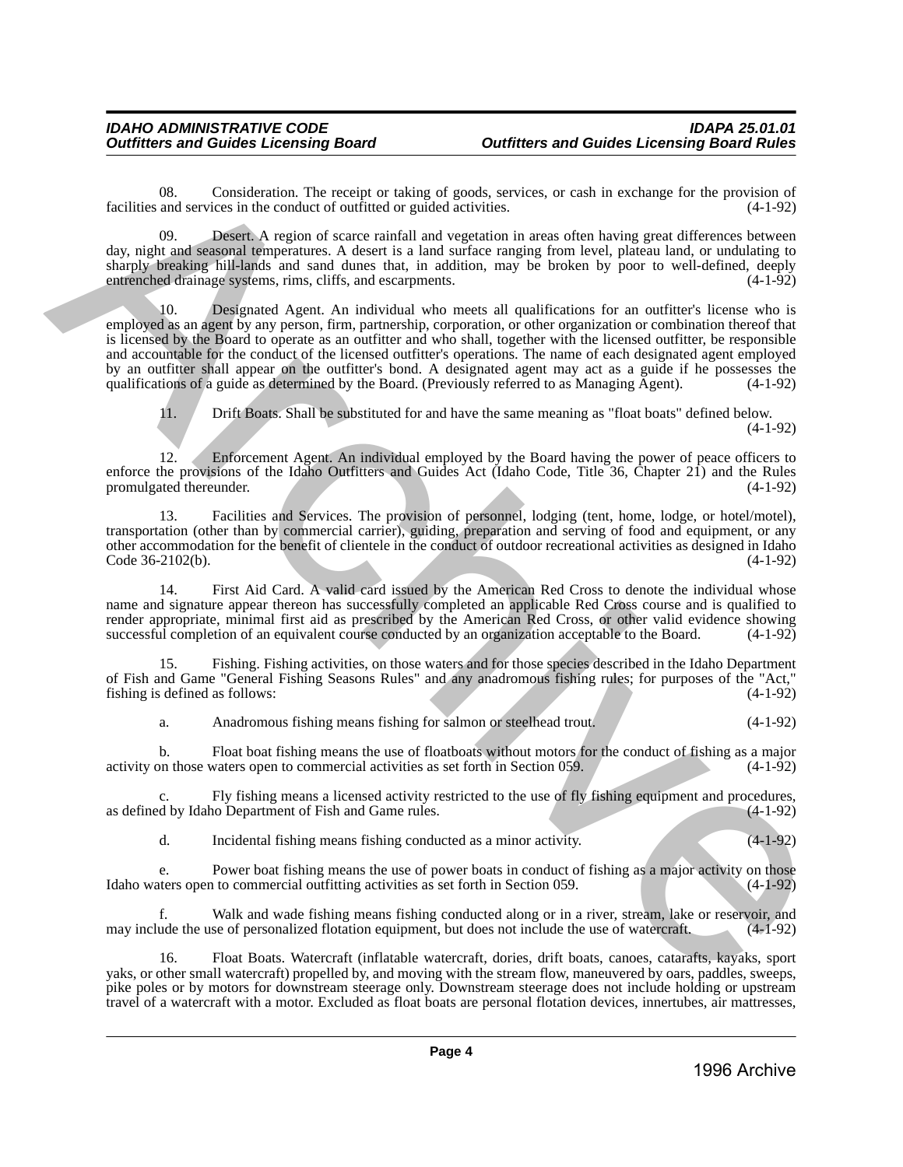08. Consideration. The receipt or taking of goods, services, or cash in exchange for the provision of and services in the conduct of outfitted or guided activities. (4-1-92) facilities and services in the conduct of outfitted or guided activities.

09. Desert. A region of scarce rainfall and vegetation in areas often having great differences between day, night and seasonal temperatures. A desert is a land surface ranging from level, plateau land, or undulating to sharply breaking hill-lands and sand dunes that, in addition, may be broken by poor to well-defined, deeply entrenched drainage systems, rims, cliffs, and escarpments. (4-1-92) (4-1-92)

10. Designated Agent. An individual who meets all qualifications for an outfitter's license who is employed as an agent by any person, firm, partnership, corporation, or other organization or combination thereof that is licensed by the Board to operate as an outfitter and who shall, together with the licensed outfitter, be responsible and accountable for the conduct of the licensed outfitter's operations. The name of each designated agent employed by an outfitter shall appear on the outfitter's bond. A designated agent may act as a guide if he possesses the qualifications of a guide as determined by the Board. (Previously referred to as Managing Agent). (4-1-92) Let the Society Consideration. The provide of photology services, or each in exchange for the provident of<br>
day right and we select the social and vegetation in access of the laving grout difference (cit-vary<br>
day right a

11. Drift Boats. Shall be substituted for and have the same meaning as "float boats" defined below. (4-1-92)

12. Enforcement Agent. An individual employed by the Board having the power of peace officers to enforce the provisions of the Idaho Outfitters and Guides Act (Idaho Code, Title 36, Chapter 21) and the Rules promulgated thereunder. (4-1-92) promulgated thereunder.

13. Facilities and Services. The provision of personnel, lodging (tent, home, lodge, or hotel/motel), transportation (other than by commercial carrier), guiding, preparation and serving of food and equipment, or any other accommodation for the benefit of clientele in the conduct of outdoor recreational activities as designed in Idaho Code  $36-2102(b)$ .

First Aid Card. A valid card issued by the American Red Cross to denote the individual whose name and signature appear thereon has successfully completed an applicable Red Cross course and is qualified to render appropriate, minimal first aid as prescribed by the American Red Cross, or other valid evidence showing successful completion of an equivalent course conducted by an organization acceptable to the Board. (4-1-92) successful completion of an equivalent course conducted by an organization acceptable to the Board.

15. Fishing. Fishing activities, on those waters and for those species described in the Idaho Department of Fish and Game "General Fishing Seasons Rules" and any anadromous fishing rules; for purposes of the "Act," fishing is defined as follows:

a. Anadromous fishing means fishing for salmon or steelhead trout. (4-1-92)

b. Float boat fishing means the use of floatboats without motors for the conduct of fishing as a major activity on those waters open to commercial activities as set forth in Section 059.

Fly fishing means a licensed activity restricted to the use of fly fishing equipment and procedures,<br>to Department of Fish and Game rules. (4-1-92) as defined by Idaho Department of Fish and Game rules.

d. Incidental fishing means fishing conducted as a minor activity. (4-1-92)

Power boat fishing means the use of power boats in conduct of fishing as a major activity on those n to commercial outfitting activities as set forth in Section 059. (4-1-92) Idaho waters open to commercial outfitting activities as set forth in Section 059.

f. Walk and wade fishing means fishing conducted along or in a river, stream, lake or reservoir, and may include the use of personalized flotation equipment, but does not include the use of watercraft. (4-1-92)

16. Float Boats. Watercraft (inflatable watercraft, dories, drift boats, canoes, catarafts, kayaks, sport yaks, or other small watercraft) propelled by, and moving with the stream flow, maneuvered by oars, paddles, sweeps, pike poles or by motors for downstream steerage only. Downstream steerage does not include holding or upstream travel of a watercraft with a motor. Excluded as float boats are personal flotation devices, innertubes, air mattresses,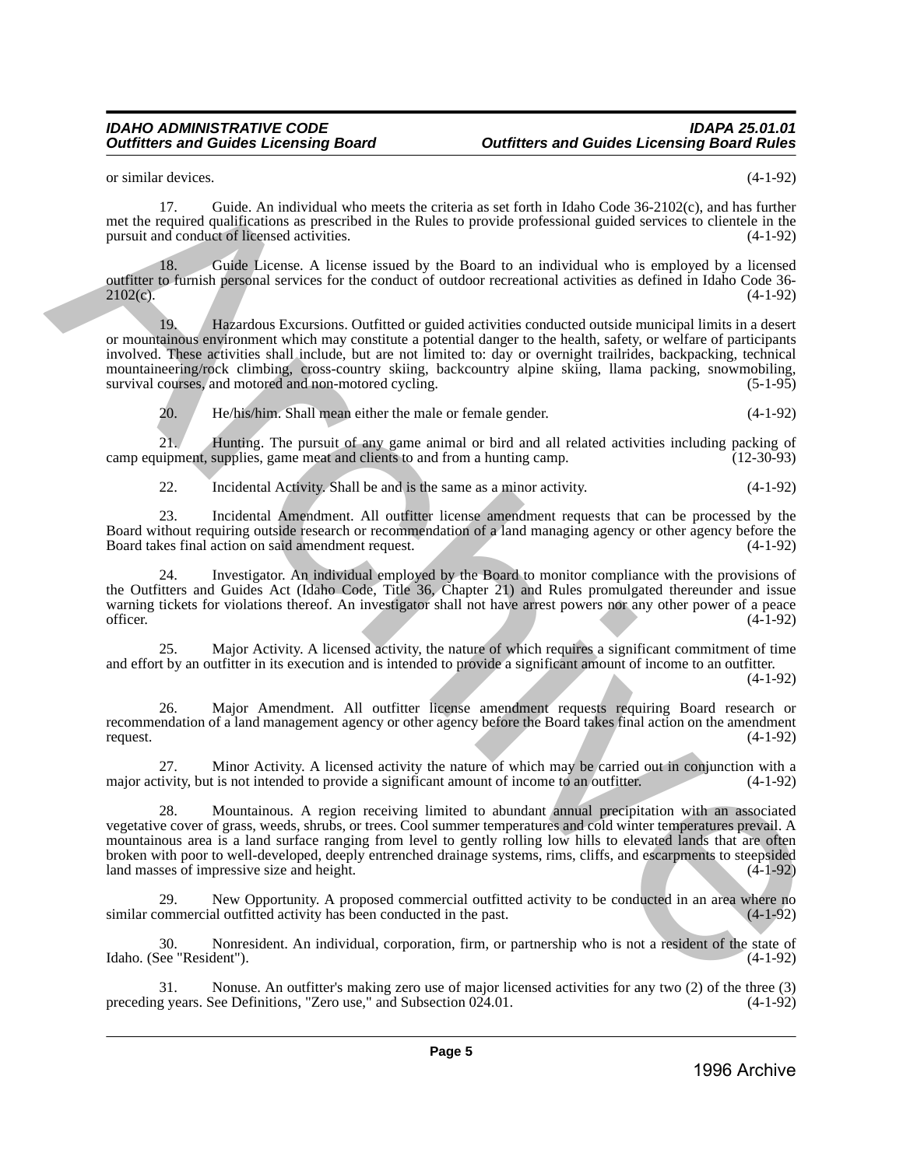or similar devices. (4-1-92)

17. Guide. An individual who meets the criteria as set forth in Idaho Code 36-2102(c), and has further met the required qualifications as prescribed in the Rules to provide professional guided services to clientele in the pursuit and conduct of licensed activities. (4-1-92)

18. Guide License. A license issued by the Board to an individual who is employed by a licensed outfitter to furnish personal services for the conduct of outdoor recreational activities as defined in Idaho Code 36-<br>(4-1-92)  $2102(c)$ . (4-1-92)

19. Hazardous Excursions. Outfitted or guided activities conducted outside municipal limits in a desert or mountainous environment which may constitute a potential danger to the health, safety, or welfare of participants involved. These activities shall include, but are not limited to: day or overnight trailrides, backpacking, technical mountaineering/rock climbing, cross-country skiing, backcountry alpine skiing, llama packing, snowmobiling, survival courses, and motored and non-motored cycling. (5-1-95) (5-1-95) or strengthend which show the third selection as performance of the third Code Se 2102(s), and the signification and the signification and the signification and the signification and the signification and the significatio

20. He/his/him. Shall mean either the male or female gender. (4-1-92)

21. Hunting. The pursuit of any game animal or bird and all related activities including packing of uipment, supplies, game meat and clients to and from a hunting camp. (12-30-93) camp equipment, supplies, game meat and clients to and from a hunting camp.

22. Incidental Activity. Shall be and is the same as a minor activity. (4-1-92)

23. Incidental Amendment. All outfitter license amendment requests that can be processed by the Board without requiring outside research or recommendation of a land managing agency or other agency before the Board takes final action on said amendment request.

24. Investigator. An individual employed by the Board to monitor compliance with the provisions of the Outfitters and Guides Act (Idaho Code, Title 36, Chapter 21) and Rules promulgated thereunder and issue warning tickets for violations thereof. An investigator shall not have arrest powers nor any other power of a peace officer. (4-1-92) officer. (4-1-92)

25. Major Activity. A licensed activity, the nature of which requires a significant commitment of time and effort by an outfitter in its execution and is intended to provide a significant amount of income to an outfitter.

(4-1-92)

26. Major Amendment. All outfitter license amendment requests requiring Board research or recommendation of a land management agency or other agency before the Board takes final action on the amendment request. (4-1-92)

27. Minor Activity. A licensed activity the nature of which may be carried out in conjunction with a major activity, but is not intended to provide a significant amount of income to an outfitter. (4-1-92)

28. Mountainous. A region receiving limited to abundant annual precipitation with an associated vegetative cover of grass, weeds, shrubs, or trees. Cool summer temperatures and cold winter temperatures prevail. A mountainous area is a land surface ranging from level to gently rolling low hills to elevated lands that are often broken with poor to well-developed, deeply entrenched drainage systems, rims, cliffs, and escarpments to steepsided land masses of impressive size and height. (4-1-92)

New Opportunity. A proposed commercial outfitted activity to be conducted in an area where no<br>al outfitted activity has been conducted in the past. similar commercial outfitted activity has been conducted in the past.

30. Nonresident. An individual, corporation, firm, or partnership who is not a resident of the state of Idaho. (See "Resident"). (4-1-92)

31. Nonuse. An outfitter's making zero use of major licensed activities for any two (2) of the three (3) g years. See Definitions, "Zero use," and Subsection 024.01. (4-1-92) preceding years. See Definitions, "Zero use," and Subsection 024.01.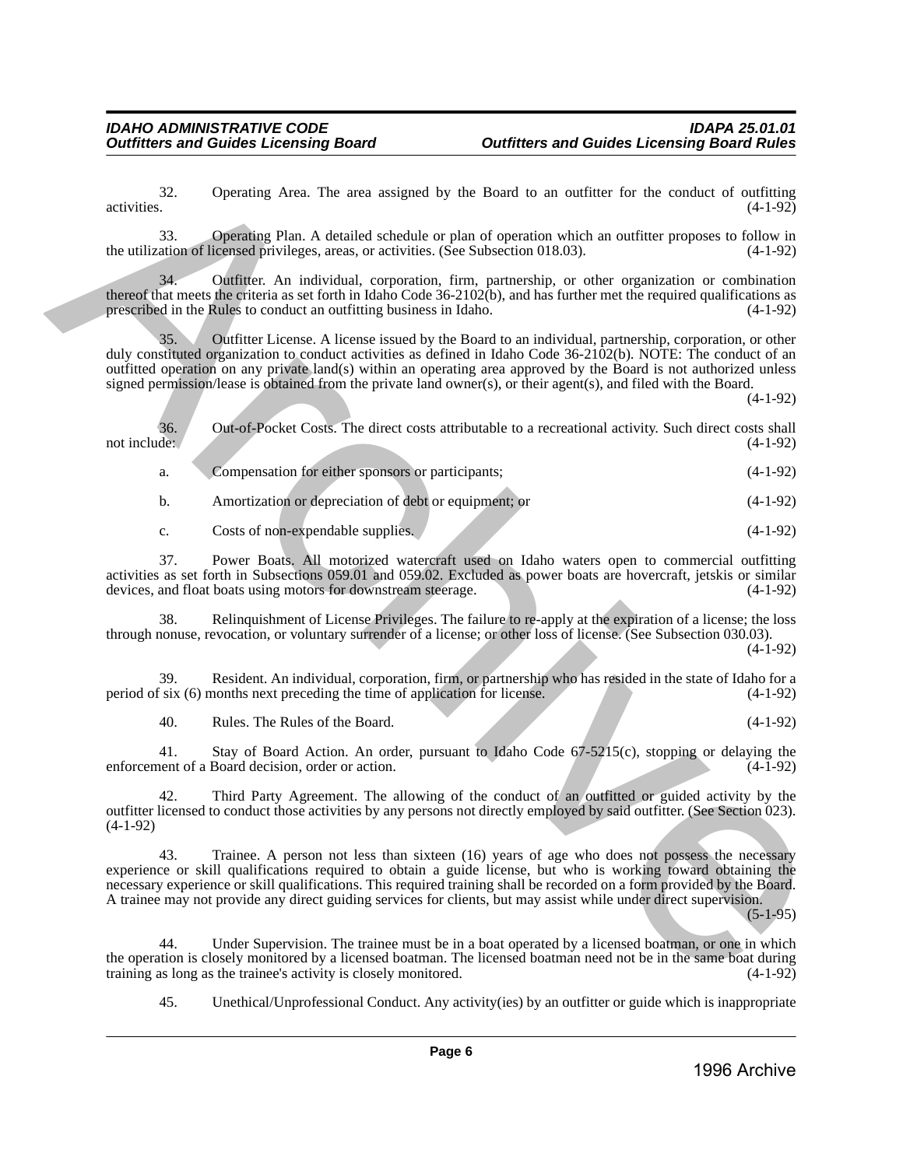| 32.<br>activities.  | Operating Area. The area assigned by the Board to an outfitter for the conduct of outfitting                                                                                                                                                                                                                                                                                                                                                                        | $(4-1-92)$ |
|---------------------|---------------------------------------------------------------------------------------------------------------------------------------------------------------------------------------------------------------------------------------------------------------------------------------------------------------------------------------------------------------------------------------------------------------------------------------------------------------------|------------|
| 33.                 | Operating Plan. A detailed schedule or plan of operation which an outfitter proposes to follow in<br>the utilization of licensed privileges, areas, or activities. (See Subsection 018.03).                                                                                                                                                                                                                                                                         | $(4-1-92)$ |
| 34.                 | Outfitter. An individual, corporation, firm, partnership, or other organization or combination<br>thereof that meets the criteria as set forth in Idaho Code 36-2102(b), and has further met the required qualifications as<br>prescribed in the Rules to conduct an outfitting business in Idaho.                                                                                                                                                                  | $(4-1-92)$ |
| 35.                 | Outfitter License. A license issued by the Board to an individual, partnership, corporation, or other<br>duly constituted organization to conduct activities as defined in Idaho Code 36-2102(b). NOTE: The conduct of an<br>outfitted operation on any private land(s) within an operating area approved by the Board is not authorized unless<br>signed permission/lease is obtained from the private land owner(s), or their agent(s), and filed with the Board. | $(4-1-92)$ |
| 36.<br>not include: | Out-of-Pocket Costs. The direct costs attributable to a recreational activity. Such direct costs shall                                                                                                                                                                                                                                                                                                                                                              | $(4-1-92)$ |
| a.                  | Compensation for either sponsors or participants;                                                                                                                                                                                                                                                                                                                                                                                                                   | $(4-1-92)$ |
| b.                  | Amortization or depreciation of debt or equipment; or                                                                                                                                                                                                                                                                                                                                                                                                               | $(4-1-92)$ |
| c.                  | Costs of non-expendable supplies.                                                                                                                                                                                                                                                                                                                                                                                                                                   | $(4-1-92)$ |
| 37.                 | Power Boats. All motorized watercraft used on Idaho waters open to commercial outfitting<br>activities as set forth in Subsections 059.01 and 059.02. Excluded as power boats are hovercraft, jetskis or similar<br>devices, and float boats using motors for downstream steerage.                                                                                                                                                                                  | $(4-1-92)$ |
| 38.                 | Relinquishment of License Privileges. The failure to re-apply at the expiration of a license; the loss<br>through nonuse, revocation, or voluntary surrender of a license; or other loss of license. (See Subsection 030.03).                                                                                                                                                                                                                                       | $(4-1-92)$ |
| 39.                 | Resident. An individual, corporation, firm, or partnership who has resided in the state of Idaho for a<br>period of six (6) months next preceding the time of application for license.                                                                                                                                                                                                                                                                              | $(4-1-92)$ |
| 40.                 | Rules. The Rules of the Board.                                                                                                                                                                                                                                                                                                                                                                                                                                      | $(4-1-92)$ |
| 41.                 | Stay of Board Action. An order, pursuant to Idaho Code $67-5215(c)$ , stopping or delaying the<br>enforcement of a Board decision, order or action.                                                                                                                                                                                                                                                                                                                 | $(4-1-92)$ |
| 42.<br>$(4-1-92)$   | Third Party Agreement. The allowing of the conduct of an outfitted or guided activity by the<br>outfitter licensed to conduct those activities by any persons not directly employed by said outfitter. (See Section 023).                                                                                                                                                                                                                                           |            |
| 43.                 | Trainee. A person not less than sixteen (16) years of age who does not possess the necessary<br>experience or skill qualifications required to obtain a guide license, but who is working toward obtaining the<br>necessary experience or skill qualifications. This required training shall be recorded on a form provided by the Board.<br>A trainee may not provide any direct guiding services for clients, but may assist while under direct supervision.      | $(5-1-95)$ |
| 44.                 | Under Supervision. The trainee must be in a boat operated by a licensed boatman, or one in which<br>the operation is closely monitored by a licensed boatman. The licensed boatman need not be in the same boat during<br>training as long as the trainee's activity is closely monitored.                                                                                                                                                                          | $(4-1-92)$ |

45. Unethical/Unprofessional Conduct. Any activity(ies) by an outfitter or guide which is inappropriate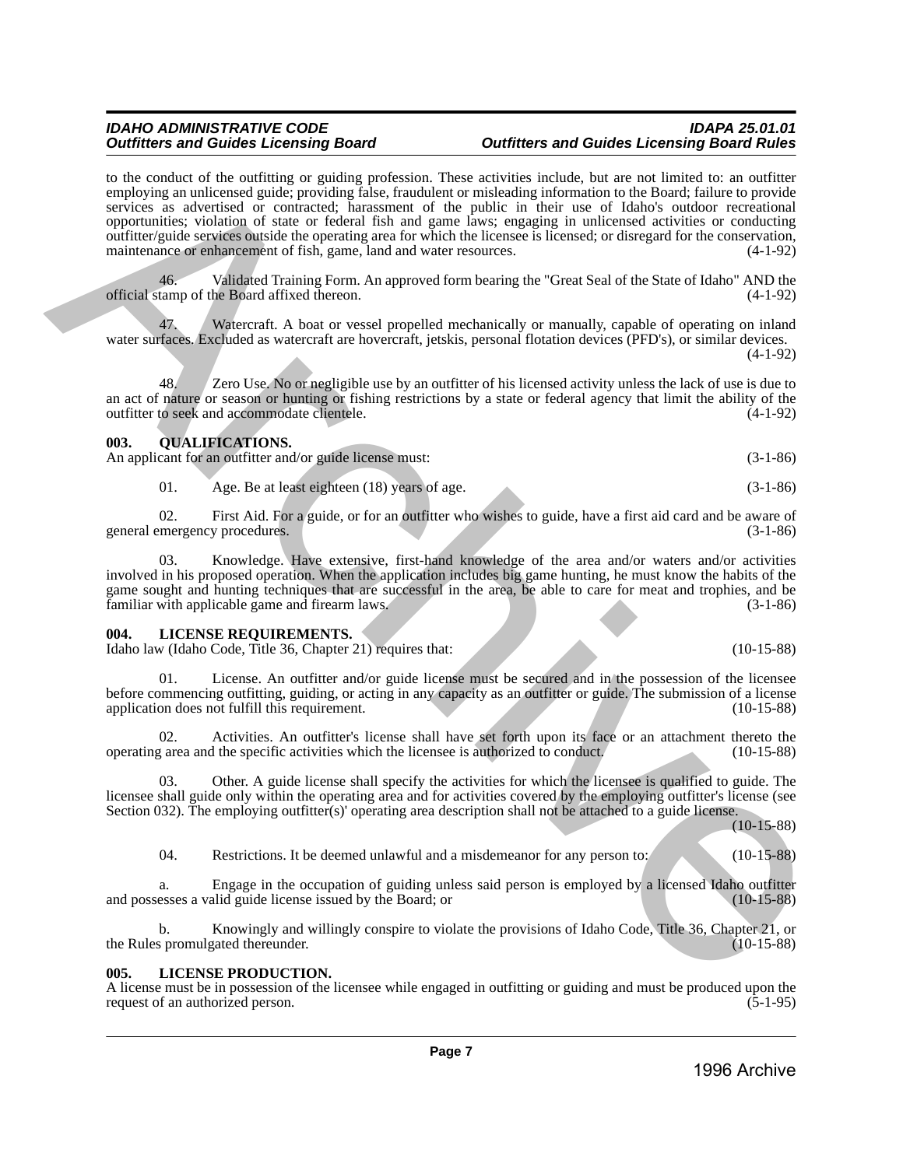to the conduct of the outfitting or guiding profession. These activities include, but are not limited to: an outfitter employing an unlicensed guide; providing false, fraudulent or misleading information to the Board; failure to provide services as advertised or contracted; harassment of the public in their use of Idaho's outdoor recreational opportunities; violation of state or federal fish and game laws; engaging in unlicensed activities or conducting outfitter/guide services outside the operating area for which the licensee is licensed; or disregard for the conservation, maintenance or enhancement of fish, game, land and water resources. (4-1-92) to be ordered to the callinger guidelig removements. These archives from the main of the calling the calling the state of the calling the calling the calling the state of the calling the calling the calling the calling t

46. Validated Training Form. An approved form bearing the "Great Seal of the State of Idaho" AND the official stamp of the Board affixed thereon. (4-1-92)

47. Watercraft. A boat or vessel propelled mechanically or manually, capable of operating on inland water surfaces. Excluded as watercraft are hovercraft, jetskis, personal flotation devices (PFD's), or similar devices. (4-1-92)

48. Zero Use. No or negligible use by an outfitter of his licensed activity unless the lack of use is due to an act of nature or season or hunting or fishing restrictions by a state or federal agency that limit the ability of the outfitter to seek and accommodate clientele. outfitter to seek and accommodate clientele.

### <span id="page-6-0"></span>**003. QUALIFICATIONS.**

An applicant for an outfitter and/or guide license must: (3-1-86)

01. Age. Be at least eighteen (18) years of age. (3-1-86)

02. First Aid. For a guide, or for an outfitter who wishes to guide, have a first aid card and be aware of general emergency procedures. (3-1-86)

03. Knowledge. Have extensive, first-hand knowledge of the area and/or waters and/or activities involved in his proposed operation. When the application includes big game hunting, he must know the habits of the game sought and hunting techniques that are successful in the area, be able to care for meat and trophies, and be familiar with applicable game and firearm laws. (3-1-86) familiar with applicable game and firearm laws.

### <span id="page-6-1"></span>**004. LICENSE REQUIREMENTS.**

Idaho law (Idaho Code, Title 36, Chapter 21) requires that: (10-15-88)

01. License. An outfitter and/or guide license must be secured and in the possession of the licensee before commencing outfitting, guiding, or acting in any capacity as an outfitter or guide. The submission of a license application does not fulfill this requirement. (10-15-88)

02. Activities. An outfitter's license shall have set forth upon its face or an attachment thereto the realistic activities which the license is authorized to conduct. (10-15-88) operating area and the specific activities which the licensee is authorized to conduct.

03. Other. A guide license shall specify the activities for which the licensee is qualified to guide. The licensee shall guide only within the operating area and for activities covered by the employing outfitter's license (see Section 032). The employing outfitter(s)' operating area description shall not be attached to a guide license.

(10-15-88)

04. Restrictions. It be deemed unlawful and a misdemeanor for any person to: (10-15-88)

a. Engage in the occupation of guiding unless said person is employed by a licensed Idaho outfitter esses a valid guide license issued by the Board; or (10-15-88) and possesses a valid guide license issued by the Board; or

Knowingly and willingly conspire to violate the provisions of Idaho Code, Title 36, Chapter 21, or rated thereunder. the Rules promulgated thereunder.

# <span id="page-6-2"></span>**005. LICENSE PRODUCTION.**

A license must be in possession of the licensee while engaged in outfitting or guiding and must be produced upon the request of an authorized person. (5-1-95) request of an authorized person.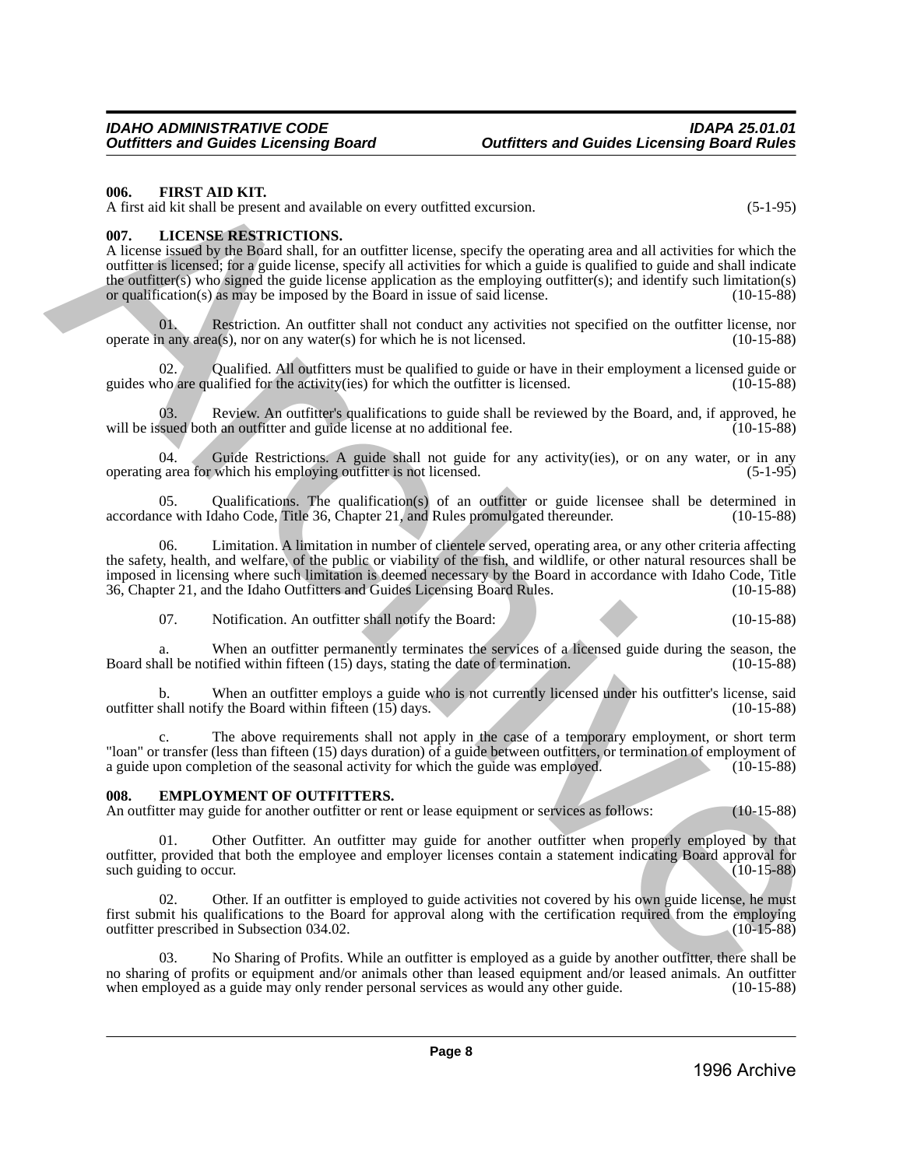### <span id="page-7-0"></span>**006. FIRST AID KIT.**

A first aid kit shall be present and available on every outfitted excursion. (5-1-95)

### <span id="page-7-1"></span>**007. LICENSE RESTRICTIONS.**

A license issued by the Board shall, for an outfitter license, specify the operating area and all activities for which the outfitter is licensed; for a guide license, specify all activities for which a guide is qualified to guide and shall indicate the outfitter(s) who signed the guide license application as the employing outfitter(s); and identify such limitation(s) or qualification(s) as may be imposed by the Board in issue of said license.  $(10-15-88)$ or qualification(s) as may be imposed by the Board in issue of said license.

01. Restriction. An outfitter shall not conduct any activities not specified on the outfitter license, nor n any area(s), nor on any water(s) for which he is not licensed. (10-15-88) operate in any  $area(s)$ , nor on any water $(s)$  for which he is not licensed.

02. Qualified. All outfitters must be qualified to guide or have in their employment a licensed guide or guides who are qualified for the activity(ies) for which the outfitter is licensed. (10-15-88)

03. Review. An outfitter's qualifications to guide shall be reviewed by the Board, and, if approved, he sued both an outfitter and guide license at no additional fee. (10-15-88) will be issued both an outfitter and guide license at no additional fee.

04. Guide Restrictions. A guide shall not guide for any activity(ies), or on any water, or in any  $\alpha$  area for which his employing outfitter is not licensed. (5-1-95) operating area for which his employing outfitter is not licensed.

05. Qualifications. The qualification(s) of an outfitter or guide licensee shall be determined in ce with Idaho Code, Title 36, Chapter 21, and Rules promulgated thereunder.  $(10-15-88)$ accordance with Idaho Code, Title 36, Chapter 21, and Rules promulgated thereunder.

06. Limitation. A limitation in number of clientele served, operating area, or any other criteria affecting the safety, health, and welfare, of the public or viability of the fish, and wildlife, or other natural resources shall be imposed in licensing where such limitation is deemed necessary by the Board in accordance with Idaho Code, Title<br>36, Chapter 21, and the Idaho Outfitters and Guides Licensing Board Rules. (10-15-88) 36, Chapter 21, and the Idaho Outfitters and Guides Licensing Board Rules. 66. **IREN' AID KUT**<br>Archive SHE MANT CONTOINE and available on every unified excussion.<br>
Archive and the simulation in the simulation of the simulation of the simulation of the simulation of the simulation of the simulati

07. Notification. An outfitter shall notify the Board: (10-15-88)

When an outfitter permanently terminates the services of a licensed guide during the season, the iffied within fifteen  $(15)$  days, stating the date of termination.  $(10-15-88)$ Board shall be notified within fifteen  $(15)$  days, stating the date of termination.

b. When an outfitter employs a guide who is not currently licensed under his outfitter's license, said shall notify the Board within fifteen (15) days. (10-15-88) outfitter shall notify the Board within fifteen  $(15)$  days.

The above requirements shall not apply in the case of a temporary employment, or short term "loan" or transfer (less than fifteen (15) days duration) of a guide between outfitters, or termination of employment of a guide upon completion of the seasonal activity for which the guide was employed. (10-15-88) a guide upon completion of the seasonal activity for which the guide was employed.

### <span id="page-7-2"></span>**008. EMPLOYMENT OF OUTFITTERS.**

An outfitter may guide for another outfitter or rent or lease equipment or services as follows: (10-15-88)

01. Other Outfitter. An outfitter may guide for another outfitter when properly employed by that outfitter, provided that both the employee and employer licenses contain a statement indicating Board approval for such guiding to occur. (10-15-88)

Other. If an outfitter is employed to guide activities not covered by his own guide license, he must first submit his qualifications to the Board for approval along with the certification required from the employing outfitter prescribed in Subsection 034.02. (10-15-88)

03. No Sharing of Profits. While an outfitter is employed as a guide by another outfitter, there shall be no sharing of profits or equipment and/or animals other than leased equipment and/or leased animals. An outfitter when employed as a guide may only render personal services as would any other guide. (10-15-88) when employed as a guide may only render personal services as would any other guide.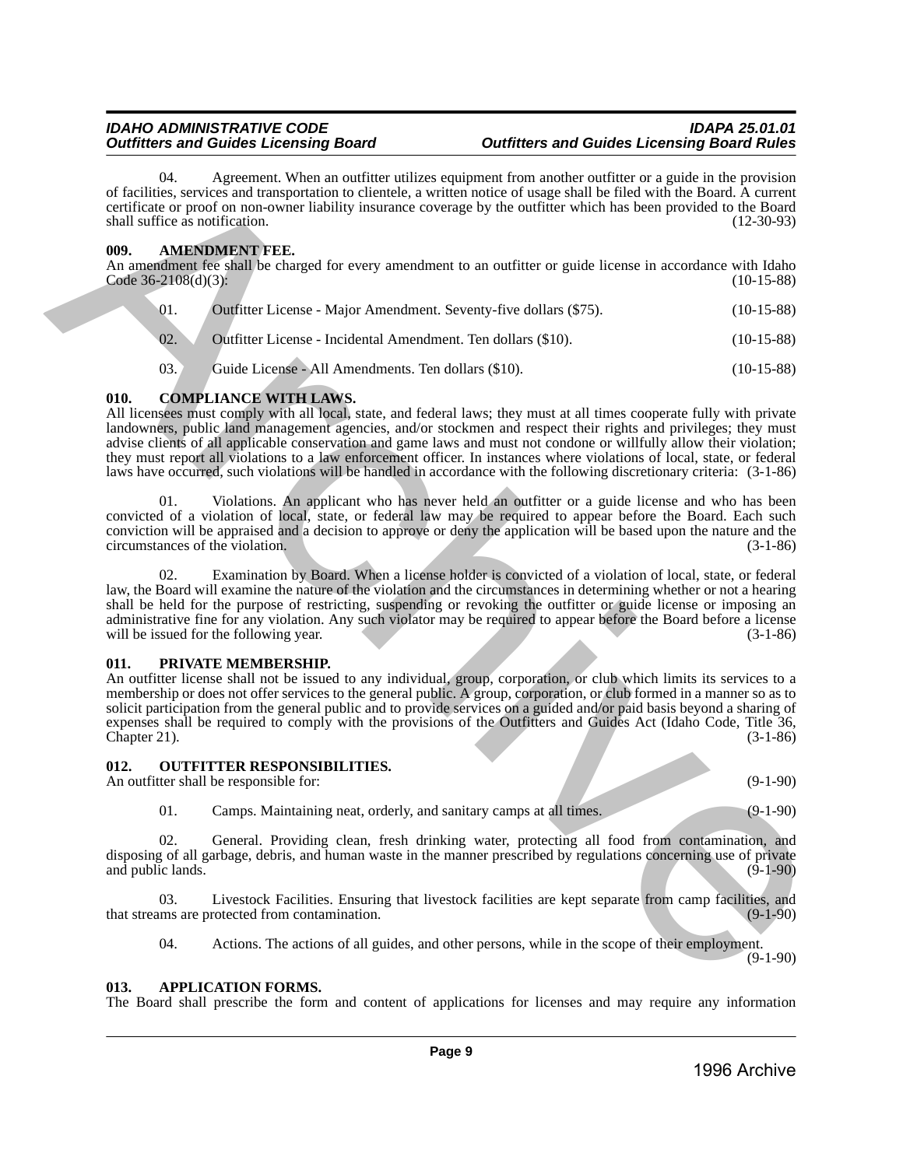04. Agreement. When an outfitter utilizes equipment from another outfitter or a guide in the provision of facilities, services and transportation to clientele, a written notice of usage shall be filed with the Board. A current certificate or proof on non-owner liability insurance coverage by the outfitter which has been provided to the Board shall suffice as notification. (12-30-93)

# <span id="page-8-0"></span>**009. AMENDMENT FEE.**

An amendment fee shall be charged for every amendment to an outfitter or guide license in accordance with Idaho  $\text{Code } 36-2108(\text{d})(3):$  (10-15-88)

| 01. | Outfitter License - Major Amendment. Seventy-five dollars (\$75). | $(10-15-88)$ |
|-----|-------------------------------------------------------------------|--------------|
| 02. | Outfitter License - Incidental Amendment. Ten dollars (\$10).     | $(10-15-88)$ |
| 03. | Guide License - All Amendments. Ten dollars (\$10).               | $(10-15-88)$ |

# <span id="page-8-1"></span>**010. COMPLIANCE WITH LAWS.**

All licensees must comply with all local, state, and federal laws; they must at all times cooperate fully with private landowners, public land management agencies, and/or stockmen and respect their rights and privileges; they must advise clients of all applicable conservation and game laws and must not condone or willfully allow their violation; they must report all violations to a law enforcement officer. In instances where violations of local, state, or federal laws have occurred, such violations will be handled in accordance with the following discretionary criteria: (3-1-86) of fishbets, were estable the mean southing supported to mean the mean term and the provision of the proposition of the mean of the mean of the mean of the mean of the mean of the mean of the mean of the mean of the mean

01. Violations. An applicant who has never held an outfitter or a guide license and who has been convicted of a violation of local, state, or federal law may be required to appear before the Board. Each such conviction will be appraised and a decision to approve or deny the application will be based upon the nature and the circumstances of the violation.

02. Examination by Board. When a license holder is convicted of a violation of local, state, or federal law, the Board will examine the nature of the violation and the circumstances in determining whether or not a hearing shall be held for the purpose of restricting, suspending or revoking the outfitter or guide license or imposing an administrative fine for any violation. Any such violator may be required to appear before the Board before a license will be issued for the following year. (3-1-86) will be issued for the following year.

# <span id="page-8-2"></span>**011. PRIVATE MEMBERSHIP.**

An outfitter license shall not be issued to any individual, group, corporation, or club which limits its services to a membership or does not offer services to the general public. A group, corporation, or club formed in a manner so as to solicit participation from the general public and to provide services on a guided and/or paid basis beyond a sharing of expenses shall be required to comply with the provisions of the Outfitters and Guides Act (Idaho Code, Title 36,  $\ell$  Chapter 21). (3-1-86)

# <span id="page-8-3"></span>**012. OUTFITTER RESPONSIBILITIES.**

An outfitter shall be responsible for: (9-1-90)

01. Camps. Maintaining neat, orderly, and sanitary camps at all times. (9-1-90)

02. General. Providing clean, fresh drinking water, protecting all food from contamination, and disposing of all garbage, debris, and human waste in the manner prescribed by regulations concerning use of private and public lands.  $(9-1-90)$ 

03. Livestock Facilities. Ensuring that livestock facilities are kept separate from camp facilities, and ms are protected from contamination. (9-1-90) that streams are protected from contamination.

04. Actions. The actions of all guides, and other persons, while in the scope of their employment. (9-1-90)

<span id="page-8-4"></span>**013. APPLICATION FORMS.** 

The Board shall prescribe the form and content of applications for licenses and may require any information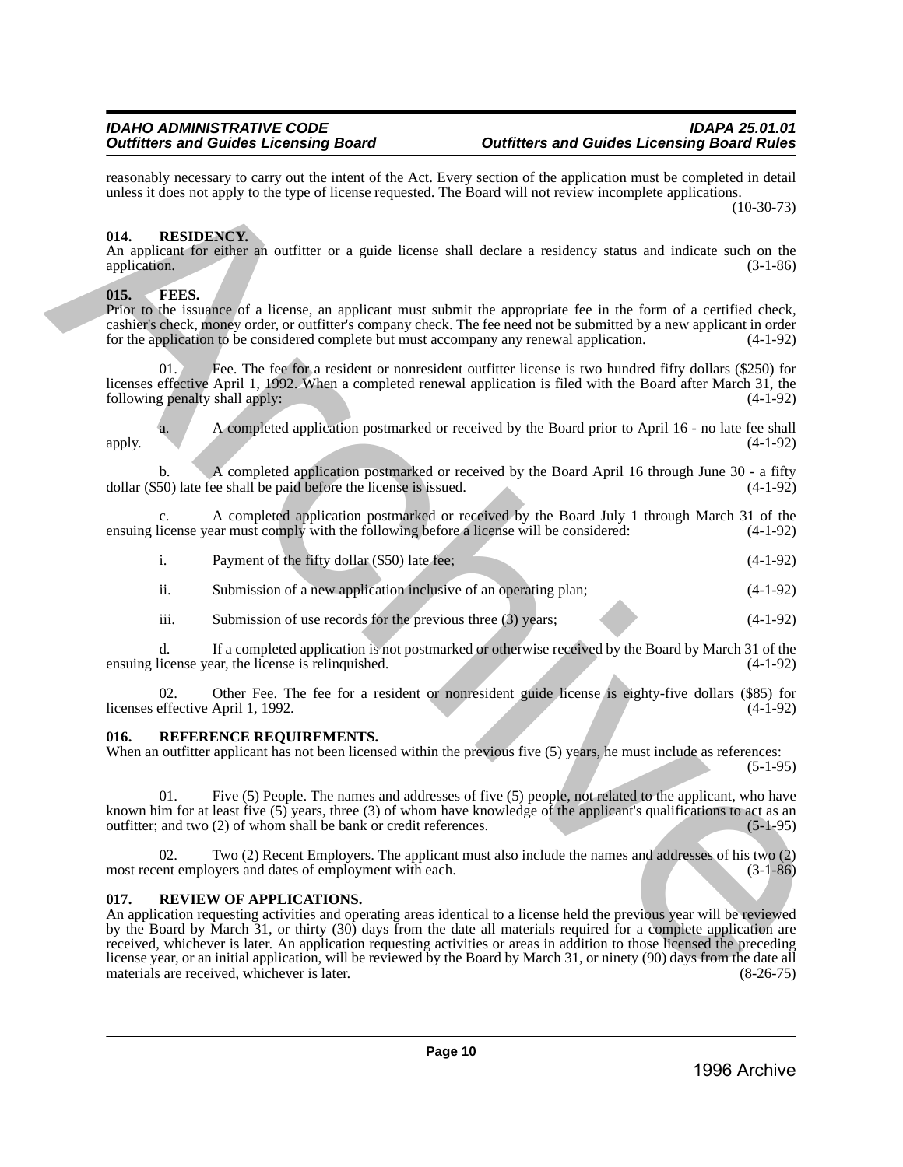reasonably necessary to carry out the intent of the Act. Every section of the application must be completed in detail unless it does not apply to the type of license requested. The Board will not review incomplete applications.  $(10-30-73)$ 

# <span id="page-9-0"></span>**014. RESIDENCY.**

An applicant for either an outfitter or a guide license shall declare a residency status and indicate such on the application. (3-1-86) application. (3-1-86)

# <span id="page-9-1"></span>**015. FEES.**

Prior to the issuance of a license, an applicant must submit the appropriate fee in the form of a certified check, cashier's check, money order, or outfitter's company check. The fee need not be submitted by a new applicant in order for the application to be considered complete but must accompany any renewal application.  $(4-1-92)$ for the application to be considered complete but must accompany any renewal application.

Fee. The fee for a resident or nonresident outfitter license is two hundred fifty dollars (\$250) for licenses effective April 1, 1992. When a completed renewal application is filed with the Board after March 31, the following penalty shall apply: (4-1-92)

a. A completed application postmarked or received by the Board prior to April 16 - no late fee shall apply. (4-1-92)

A completed application postmarked or received by the Board April 16 through June 30 - a fifty be shall be paid before the license is issued.  $(4-1-92)$ dollar  $(\$50)$  late fee shall be paid before the license is issued.

c. A completed application postmarked or received by the Board July 1 through March 31 of the ensuing license year must comply with the following before a license will be considered: (4-1-92)

- i. Payment of the fifty dollar (\$50) late fee; (4-1-92)
- ii. Submission of a new application inclusive of an operating plan; (4-1-92)
- iii. Submission of use records for the previous three  $(3)$  years;  $(4-1-92)$

d. If a completed application is not postmarked or otherwise received by the Board by March 31 of the ensuing license year, the license is relinquished. (4-1-92)

02. Other Fee. The fee for a resident or nonresident guide license is eighty-five dollars (\$85) for licenses effective April 1, 1992. (4-1-92)

# <span id="page-9-2"></span>**016. REFERENCE REQUIREMENTS.**

When an outfitter applicant has not been licensed within the previous five (5) years, he must include as references:  $(5-1-95)$ 

01. Five (5) People. The names and addresses of five (5) people, not related to the applicant, who have known him for at least five (5) years, three (3) of whom have knowledge of the applicant's qualifications to act as an outfitter; and two (2) of whom shall be bank or credit references.  $(5-1-95)$ outfitter; and two  $(2)$  of whom shall be bank or credit references.

02. Two (2) Recent Employers. The applicant must also include the names and addresses of his two (2) most recent employers and dates of employment with each. (3-1-86)

# <span id="page-9-3"></span>**017. REVIEW OF APPLICATIONS.**

An application requesting activities and operating areas identical to a license held the previous year will be reviewed by the Board by March 31, or thirty (30) days from the date all materials required for a complete application are received, whichever is later. An application requesting activities or areas in addition to those licensed the preceding license year, or an initial application, will be reviewed by the Board by March 31, or ninety (90) days from the date all materials are received, whichever is later. materials are received, whichever is later. resumed by teachive pairs and the latter in the declineration in the application range becomes the computer of the computer of the stress of the stress of the stress of the stress of the stress of the stress of the stress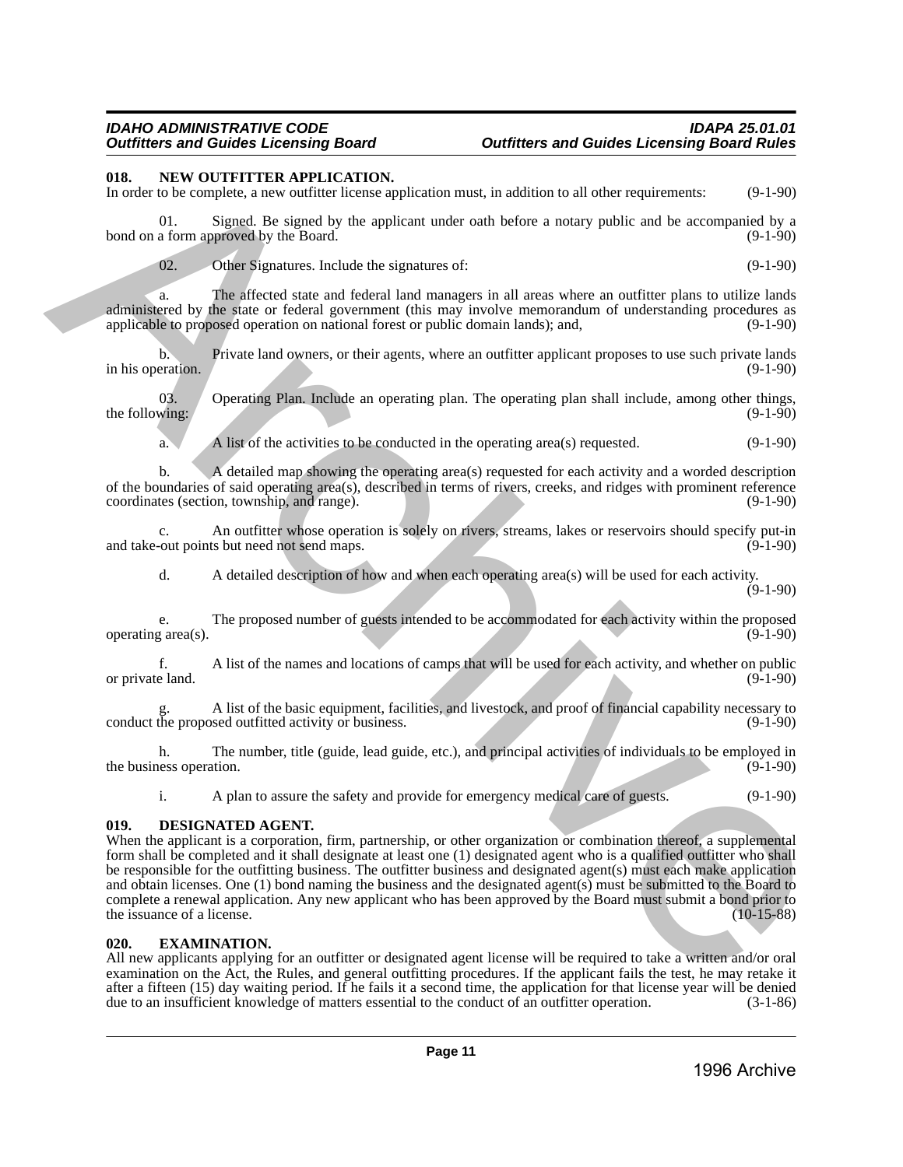### <span id="page-10-0"></span>**018. NEW OUTFITTER APPLICATION.**

In order to be complete, a new outfitter license application must, in addition to all other requirements: (9-1-90)

01. Signed. Be signed by the applicant under oath before a notary public and be accompanied by a bond on a form approved by the Board. (9-1-90)

02. Other Signatures. Include the signatures of: (9-1-90)

a. The affected state and federal land managers in all areas where an outfitter plans to utilize lands administered by the state or federal government (this may involve memorandum of understanding procedures as applicable to proposed operation on national forest or public domain lands); and, (9-1-90) applicable to proposed operation on national forest or public domain lands); and,

b. Private land owners, or their agents, where an outfitter applicant proposes to use such private lands eration. (9-1-90) in his operation.

03. Operating Plan. Include an operating plan. The operating plan shall include, among other things, (9-1-90) the following:

a. A list of the activities to be conducted in the operating area(s) requested. (9-1-90)

b. A detailed map showing the operating area(s) requested for each activity and a worded description of the boundaries of said operating area(s), described in terms of rivers, creeks, and ridges with prominent reference coordinates (section, township, and range). (9-1-90) coordinates (section, township, and range).

c. An outfitter whose operation is solely on rivers, streams, lakes or reservoirs should specify put-in and take-out points but need not send maps.

d. A detailed description of how and when each operating area(s) will be used for each activity.  $(9-1-90)$ 

e. The proposed number of guests intended to be accommodated for each activity within the proposed g area(s). operating  $area(s)$ .

f. A list of the names and locations of camps that will be used for each activity, and whether on public or private land.

A list of the basic equipment, facilities, and livestock, and proof of financial capability necessary to sed outfitted activity or business. (9-1-90) conduct the proposed outfitted activity or business.

h. The number, title (guide, lead guide, etc.), and principal activities of individuals to be employed in (9-1-90) the business operation.

i. A plan to assure the safety and provide for emergency medical care of guests. (9-1-90)

# <span id="page-10-1"></span>**019. DESIGNATED AGENT.**

When the applicant is a corporation, firm, partnership, or other organization or combination thereof, a supplemental form shall be completed and it shall designate at least one (1) designated agent who is a qualified outfitter who shall be responsible for the outfitting business. The outfitter business and designated agent(s) must each make application and obtain licenses. One (1) bond naming the business and the designated agent(s) must be submitted to the Board to complete a renewal application. Any new applicant who has been approved by the Board must submit a bond prior to the issuance of a license. (10-15-88) the issuance of a license. IT is Now Your PIFFIRE APPHACYTICAL CHOICH, and general of the complete of the complete of the complete of the complete of the complete of the complete of the complete of the complete of the complete of the complete of th

# <span id="page-10-2"></span>**020. EXAMINATION.**

All new applicants applying for an outfitter or designated agent license will be required to take a written and/or oral examination on the Act, the Rules, and general outfitting procedures. If the applicant fails the test, he may retake it after a fifteen  $(15)$  day waiting period. If he fails it a second time, the application for that license year will be denied due to an insufficient knowledge of matters essential to the conduct of an outfitter operation. due to an insufficient knowledge of matters essential to the conduct of an outfitter operation.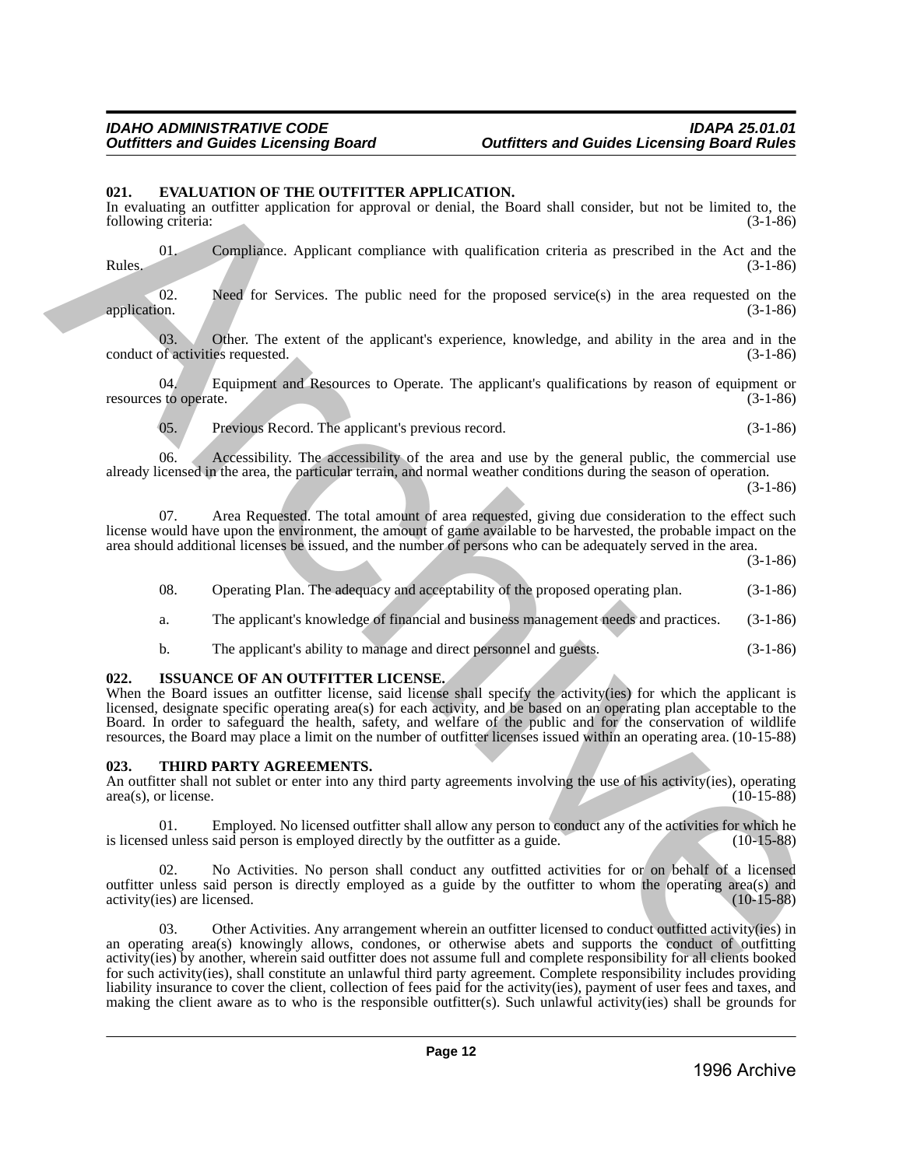# <span id="page-11-0"></span>**021. EVALUATION OF THE OUTFITTER APPLICATION.**

In evaluating an outfitter application for approval or denial, the Board shall consider, but not be limited to, the following criteria: (3-1-86) (3-1-86)

01. Compliance. Applicant compliance with qualification criteria as prescribed in the Act and the Rules. (3-1-86)

02. Need for Services. The public need for the proposed service(s) in the area requested on the application. (3-1-86) application. (3-1-86)

03. Other. The extent of the applicant's experience, knowledge, and ability in the area and in the of activities requested. conduct of activities requested.

04. Equipment and Resources to Operate. The applicant's qualifications by reason of equipment or s to operate. (3-1-86) resources to operate.

05. Previous Record. The applicant's previous record. (3-1-86)

06. Accessibility. The accessibility of the area and use by the general public, the commercial use already licensed in the area, the particular terrain, and normal weather conditions during the season of operation.

(3-1-86)

07. Area Requested. The total amount of area requested, giving due consideration to the effect such license would have upon the environment, the amount of game available to be harvested, the probable impact on the area should additional licenses be issued, and the number of persons who can be adequately served in the area.

(3-1-86)

- 08. Operating Plan. The adequacy and acceptability of the proposed operating plan. (3-1-86)
- a. The applicant's knowledge of financial and business management needs and practices. (3-1-86)
- b. The applicant's ability to manage and direct personnel and guests. (3-1-86)

### <span id="page-11-1"></span>**022. ISSUANCE OF AN OUTFITTER LICENSE.**

When the Board issues an outfitter license, said license shall specify the activity(ies) for which the applicant is licensed, designate specific operating area(s) for each activity, and be based on an operating plan acceptable to the Board. In order to safeguard the health, safety, and welfare of the public and for the conservation of wildlife resources, the Board may place a limit on the number of outfitter licenses issued within an operating area. (10-15-88)

### <span id="page-11-2"></span>**023. THIRD PARTY AGREEMENTS.**

An outfitter shall not sublet or enter into any third party agreements involving the use of his activity(ies), operating area(s), or license. (10-15-88)  $area(s)$ , or license.

01. Employed. No licensed outfitter shall allow any person to conduct any of the activities for which he ed unless said person is employed directly by the outfitter as a guide. (10-15-88) is licensed unless said person is employed directly by the outfitter as a guide.

02. No Activities. No person shall conduct any outfitted activities for or on behalf of a licensed outfitter unless said person is directly employed as a guide by the outfitter to whom the operating area(s) and activity(ies) are licensed. (10-15-88) activity(ies) are licensed.

03. Other Activities. Any arrangement wherein an outfitter licensed to conduct outfitted activity(ies) in an operating area(s) knowingly allows, condones, or otherwise abets and supports the conduct of outfitting activity(ies) by another, wherein said outfitter does not assume full and complete responsibility for all clients booked for such activity(ies), shall constitute an unlawful third party agreement. Complete responsibility includes providing liability insurance to cover the client, collection of fees paid for the activity(ies), payment of user fees and taxes, and making the client aware as to who is the responsible outfitter(s). Such unlawful activity(ies) shall be grounds for 62. EVALUATION OF THE OUTETTER APPLICATION.<br>
Solibridge celecting mathematic september of detail, the Banal shall consider, but are the limited by the Solibridge celecting mathematic september of the properties are presen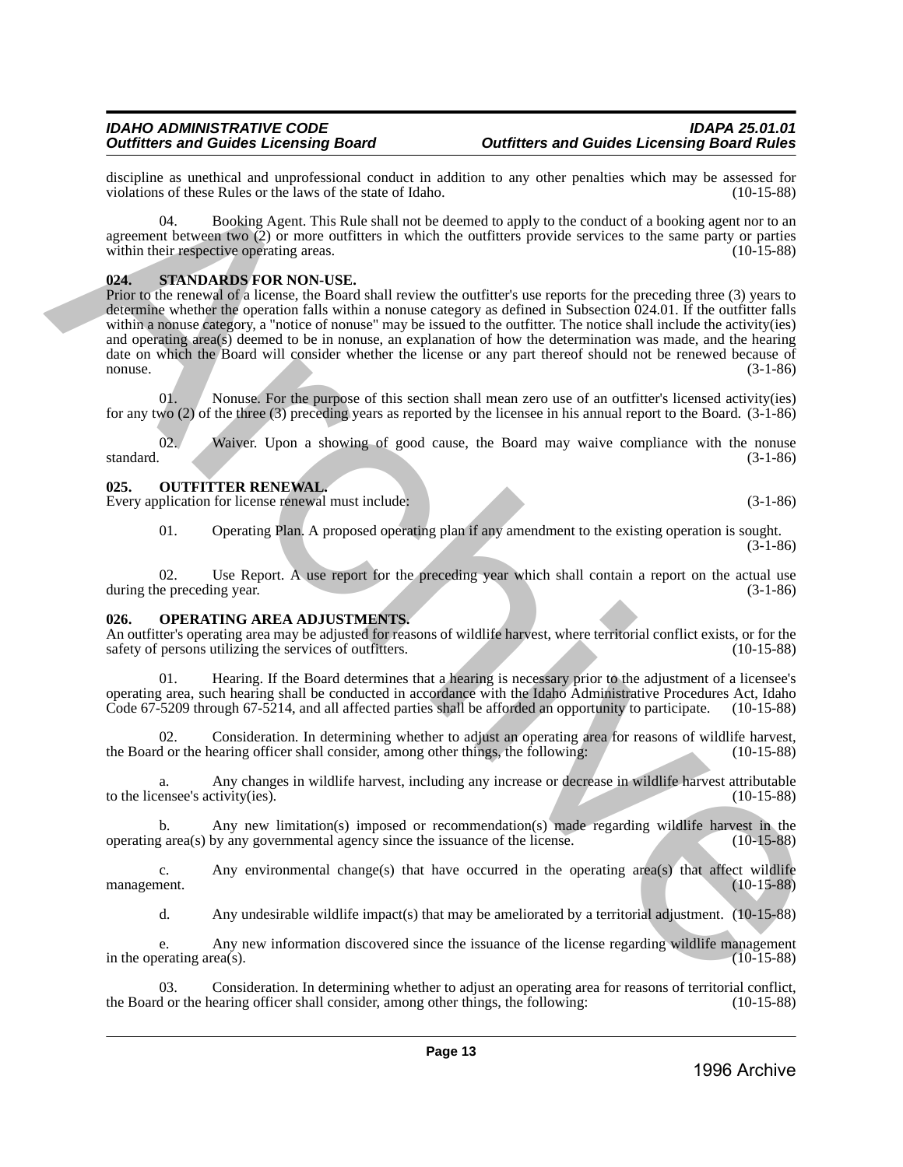discipline as unethical and unprofessional conduct in addition to any other penalties which may be assessed for violations of these Rules or the laws of the state of Idaho. (10-15-88) violations of these Rules or the laws of the state of Idaho.

04. Booking Agent. This Rule shall not be deemed to apply to the conduct of a booking agent nor to an agreement between two  $\tilde{Q}$  or more outfitters in which the outfitters provide services to the same party or parties within their respective operating areas. (10-15-88) within their respective operating areas.

# <span id="page-12-0"></span>**024. STANDARDS FOR NON-USE.**

Prior to the renewal of a license, the Board shall review the outfitter's use reports for the preceding three (3) years to determine whether the operation falls within a nonuse category as defined in Subsection 024.01. If the outfitter falls within a nonuse category, a "notice of nonuse" may be issued to the outfitter. The notice shall include the activity(ies) and operating area(s) deemed to be in nonuse, an explanation of how the determination was made, and the hearing date on which the Board will consider whether the license or any part thereof should not be renewed because of nonuse. nonuse.  $(3-1-86)$ discription as one this interaction and consistent consistent consistent and the present of the second field and the second of the second of the second of the second of the second of the second of the second of the second

01. Nonuse. For the purpose of this section shall mean zero use of an outfitter's licensed activity(ies) for any two (2) of the three (3) preceding years as reported by the licensee in his annual report to the Board. (3-1-86)

02. Waiver. Upon a showing of good cause, the Board may waive compliance with the nonuse standard. (3-1-86) standard. (3-1-86)

# <span id="page-12-1"></span>**025. OUTFITTER RENEWAL.**

Every application for license renewal must include: (3-1-86) (3-1-86)

01. Operating Plan. A proposed operating plan if any amendment to the existing operation is sought.  $(3-1-86)$ 

02. Use Report. A use report for the preceding year which shall contain a report on the actual use ne preceding year. (3-1-86) during the preceding year.

# <span id="page-12-2"></span>**026. OPERATING AREA ADJUSTMENTS.**

An outfitter's operating area may be adjusted for reasons of wildlife harvest, where territorial conflict exists, or for the safety of persons utilizing the services of outfitters. (10-15-88) safety of persons utilizing the services of outfitters.

01. Hearing. If the Board determines that a hearing is necessary prior to the adjustment of a licensee's operating area, such hearing shall be conducted in accordance with the Idaho Administrative Procedures Act, Idaho Code 67-5209 through 67-5214, and all affected parties shall be afforded an opportunity to participate. (10-15-88)

Consideration. In determining whether to adjust an operating area for reasons of wildlife harvest, earing officer shall consider, among other things, the following: (10-15-88) the Board or the hearing officer shall consider, among other things, the following:

a. Any changes in wildlife harvest, including any increase or decrease in wildlife harvest attributable to the licensee's activity(ies). (10-15-88)

b. Any new limitation(s) imposed or recommendation(s) made regarding wildlife harvest in the g area(s) by any governmental agency since the issuance of the license.  $(10-15-88)$ operating  $area(s)$  by any governmental agency since the issuance of the license.

c. Any environmental change(s) that have occurred in the operating area(s) that affect wildlife management. (10-15-88) management. (10-15-88)

d. Any undesirable wildlife impact(s) that may be ameliorated by a territorial adjustment. (10-15-88)

e. Any new information discovered since the issuance of the license regarding wildlife management in the operating  $area(s)$ .

Consideration. In determining whether to adjust an operating area for reasons of territorial conflict, earing officer shall consider, among other things, the following: (10-15-88) the Board or the hearing officer shall consider, among other things, the following: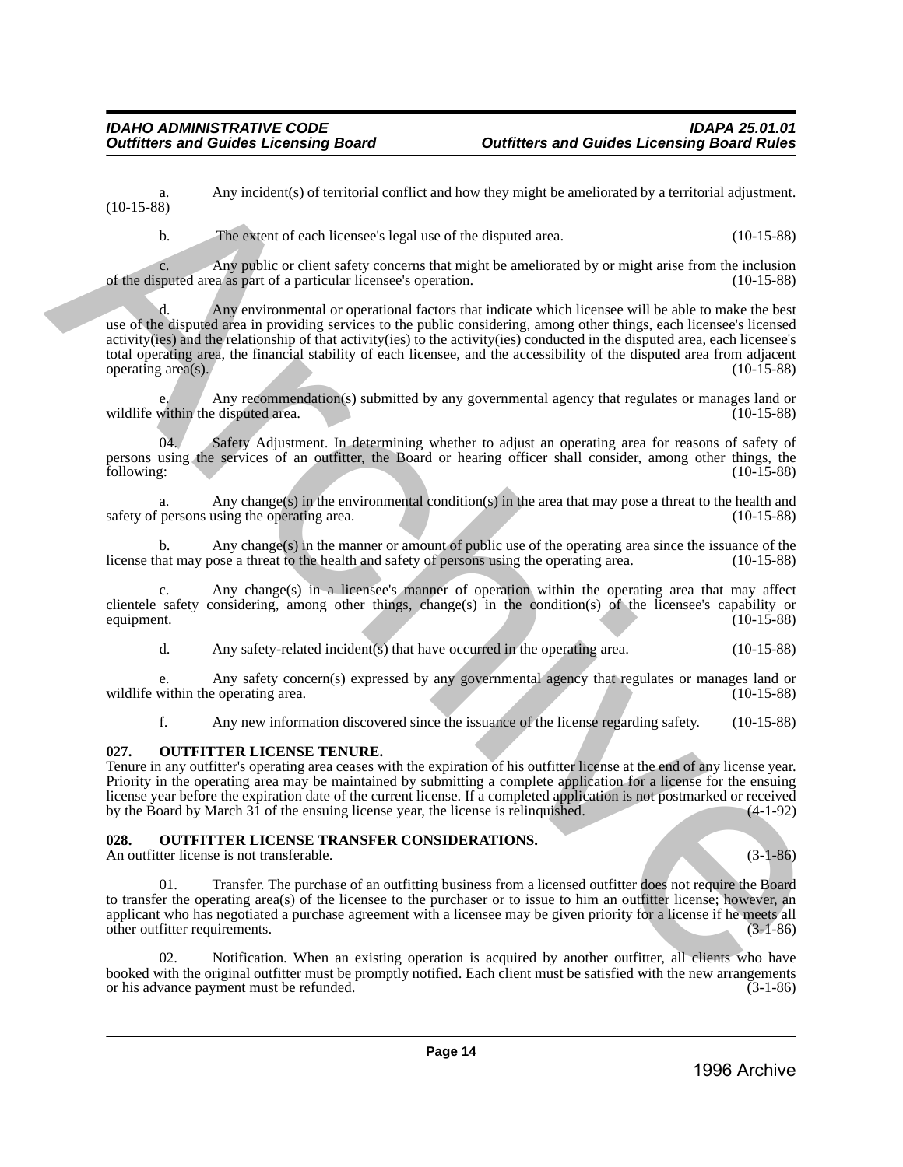a. Any incident(s) of territorial conflict and how they might be ameliorated by a territorial adjustment. (10-15-88)

b. The extent of each licensee's legal use of the disputed area. (10-15-88)

c. Any public or client safety concerns that might be ameliorated by or might arise from the inclusion of the disputed area as part of a particular licensee's operation.

d. Any environmental or operational factors that indicate which licensee will be able to make the best use of the disputed area in providing services to the public considering, among other things, each licensee's licensed activity(ies) and the relationship of that activity(ies) to the activity(ies) conducted in the disputed area, each licensee's total operating area, the financial stability of each licensee, and the accessibility of the disputed area from adjacent operating area $(s)$ . (10.15 eS) Any incidents) of territorial contiet and how they might be ancientated by a territorial adjustment<br>
The causat of cach is context and the distance of the distance of the distance of the distance of the distanc

Any recommendation(s) submitted by any governmental agency that regulates or manages land or edisputed area. (10-15-88) wildlife within the disputed area.

04. Safety Adjustment. In determining whether to adjust an operating area for reasons of safety of persons using the services of an outfitter, the Board or hearing officer shall consider, among other things, the following: (10-15-88) following: (10-15-88)

Any change(s) in the environmental condition(s) in the area that may pose a threat to the health and using the operating area.  $(10-15-88)$ safety of persons using the operating area.

b. Any change(s) in the manner or amount of public use of the operating area since the issuance of the hat may pose a threat to the health and safety of persons using the operating area.  $(10-15-88)$ license that may pose a threat to the health and safety of persons using the operating area.

Any change(s) in a licensee's manner of operation within the operating area that may affect clientele safety considering, among other things, change(s) in the condition(s) of the licensee's capability or equipment. (10-15-88)

d. Any safety-related incident(s) that have occurred in the operating area. (10-15-88)

e. Any safety concern(s) expressed by any governmental agency that regulates or manages land or wildlife within the operating area.

f. Any new information discovered since the issuance of the license regarding safety. (10-15-88)

# <span id="page-13-0"></span>**027. OUTFITTER LICENSE TENURE.**

Tenure in any outfitter's operating area ceases with the expiration of his outfitter license at the end of any license year. Priority in the operating area may be maintained by submitting a complete application for a license for the ensuing license year before the expiration date of the current license. If a completed application is not postmarked or received<br>by the Board by March 31 of the ensuing license year, the license is relinguished. (4-1-92) by the Board by March  $3\hat{1}$  of the ensuing license year, the license is relinquished.

# <span id="page-13-1"></span>**028. OUTFITTER LICENSE TRANSFER CONSIDERATIONS.**

An outfitter license is not transferable. (3-1-86)

01. Transfer. The purchase of an outfitting business from a licensed outfitter does not require the Board to transfer the operating area(s) of the licensee to the purchaser or to issue to him an outfitter license; however, an applicant who has negotiated a purchase agreement with a licensee may be given priority for a license if he meets all other outfitter requirements. (3-1-86)

02. Notification. When an existing operation is acquired by another outfitter, all clients who have booked with the original outfitter must be promptly notified. Each client must be satisfied with the new arrangements or his advance payment must be refunded.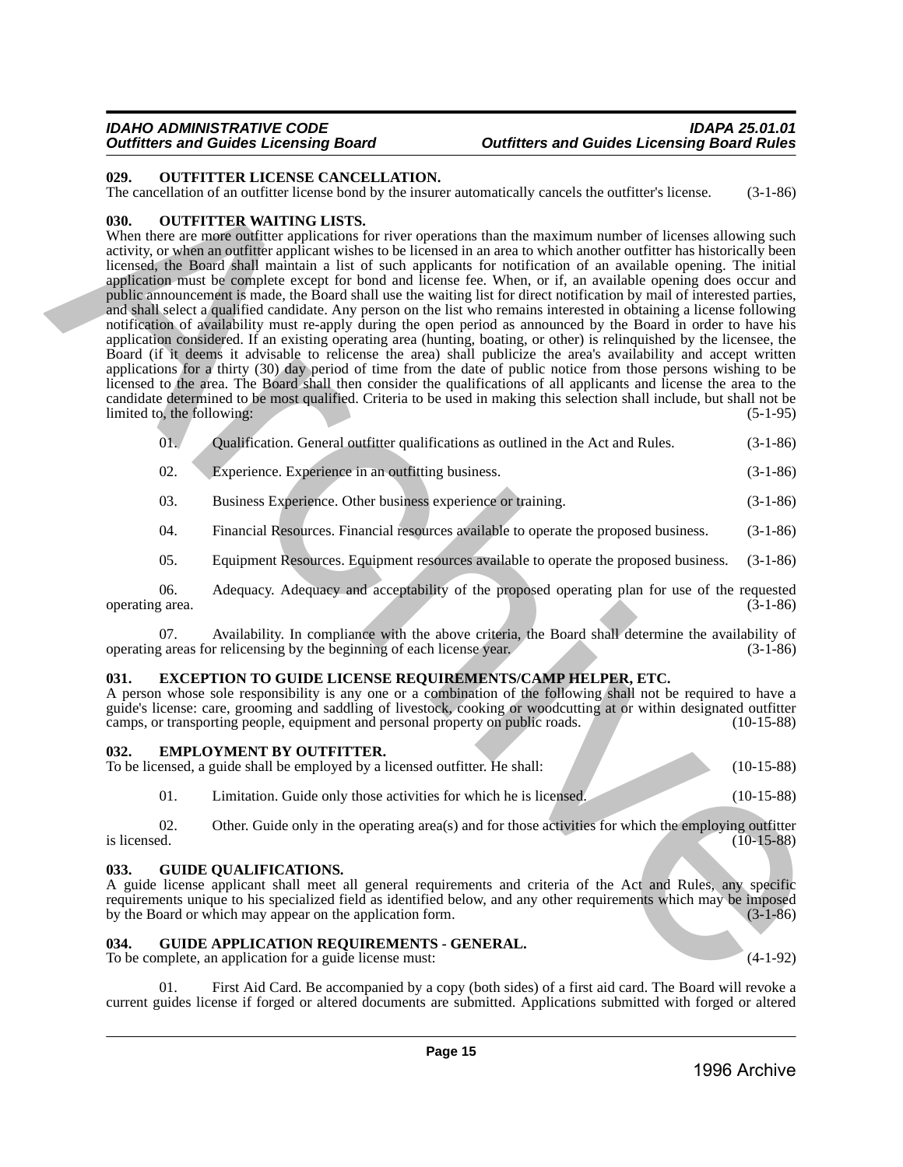# <span id="page-14-0"></span>**029. OUTFITTER LICENSE CANCELLATION.**

The cancellation of an outfitter license bond by the insurer automatically cancels the outfitter's license. (3-1-86)

### <span id="page-14-1"></span>**030. OUTFITTER WAITING LISTS.**

When there are more outfitter applications for river operations than the maximum number of licenses allowing such activity, or when an outfitter applicant wishes to be licensed in an area to which another outfitter has historically been licensed, the Board shall maintain a list of such applicants for notification of an available opening. The initial application must be complete except for bond and license fee. When, or if, an available opening does occur and public announcement is made, the Board shall use the waiting list for direct notification by mail of interested parties, and shall select a qualified candidate. Any person on the list who remains interested in obtaining a license following notification of availability must re-apply during the open period as announced by the Board in order to have his application considered. If an existing operating area (hunting, boating, or other) is relinquished by the licensee, the Board (if it deems it advisable to relicense the area) shall publicize the area's availability and accept written applications for a thirty (30) day period of time from the date of public notice from those persons wishing to be licensed to the area. The Board shall then consider the qualifications of all applicants and license the area to the candidate determined to be most qualified. Criteria to be used in making this selection shall include, but shall not be limited to, the following: 628. Or entertructure interted states in the constraint of the constraint of the constraints of the constraints of the constraints of the constraints of the constraints of the constraints of the constraints of the constr

| 01.      | Qualification. General outfitter qualifications as outlined in the Act and Rules.                                                                                   | $(3-1-86)$ |
|----------|---------------------------------------------------------------------------------------------------------------------------------------------------------------------|------------|
| 02.      | Experience. Experience in an outfitting business.                                                                                                                   | $(3-1-86)$ |
| $\Omega$ | $\mathbf{D}_{\text{total}}$ and $\mathbf{D}_{\text{total}}$ and $\mathbf{A}_{\text{total}}$ are the state of a property of the state of $\mathbf{D}_{\text{total}}$ |            |

03. Business Experience. Other business experience or training. (3-1-86)

04. Financial Resources. Financial resources available to operate the proposed business. (3-1-86)

05. Equipment Resources. Equipment resources available to operate the proposed business. (3-1-86)

06. Adequacy. Adequacy and acceptability of the proposed operating plan for use of the requested g area. (3-1-86) operating area.

07. Availability. In compliance with the above criteria, the Board shall determine the availability of gareas for relicensing by the beginning of each license year. (3-1-86) operating areas for relicensing by the beginning of each license year.

# <span id="page-14-2"></span>**031. EXCEPTION TO GUIDE LICENSE REQUIREMENTS/CAMP HELPER, ETC.**

A person whose sole responsibility is any one or a combination of the following shall not be required to have a guide's license: care, grooming and saddling of livestock, cooking or woodcutting at or within designated outfitter camps, or transporting people, equipment and personal property on public roads. (10-15-88) camps, or transporting people, equipment and personal property on public roads.

# <span id="page-14-3"></span>**032. EMPLOYMENT BY OUTFITTER.**

To be licensed, a guide shall be employed by a licensed outfitter. He shall: (10-15-88)

01. Limitation. Guide only those activities for which he is licensed. (10-15-88)

02. Other. Guide only in the operating area(s) and for those activities for which the employing outfitter is licensed. (10-15-88) is licensed.  $(10-15-88)$ 

### <span id="page-14-4"></span>**033. GUIDE QUALIFICATIONS.**

A guide license applicant shall meet all general requirements and criteria of the Act and Rules, any specific requirements unique to his specialized field as identified below, and any other requirements which may be imposed<br>by the Board or which may appear on the application form. (3-1-86) by the Board or which may appear on the application form.

# <span id="page-14-5"></span>**034. GUIDE APPLICATION REQUIREMENTS - GENERAL.**

To be complete, an application for a guide license must:  $(4-1-92)$ 

First Aid Card. Be accompanied by a copy (both sides) of a first aid card. The Board will revoke a current guides license if forged or altered documents are submitted. Applications submitted with forged or altered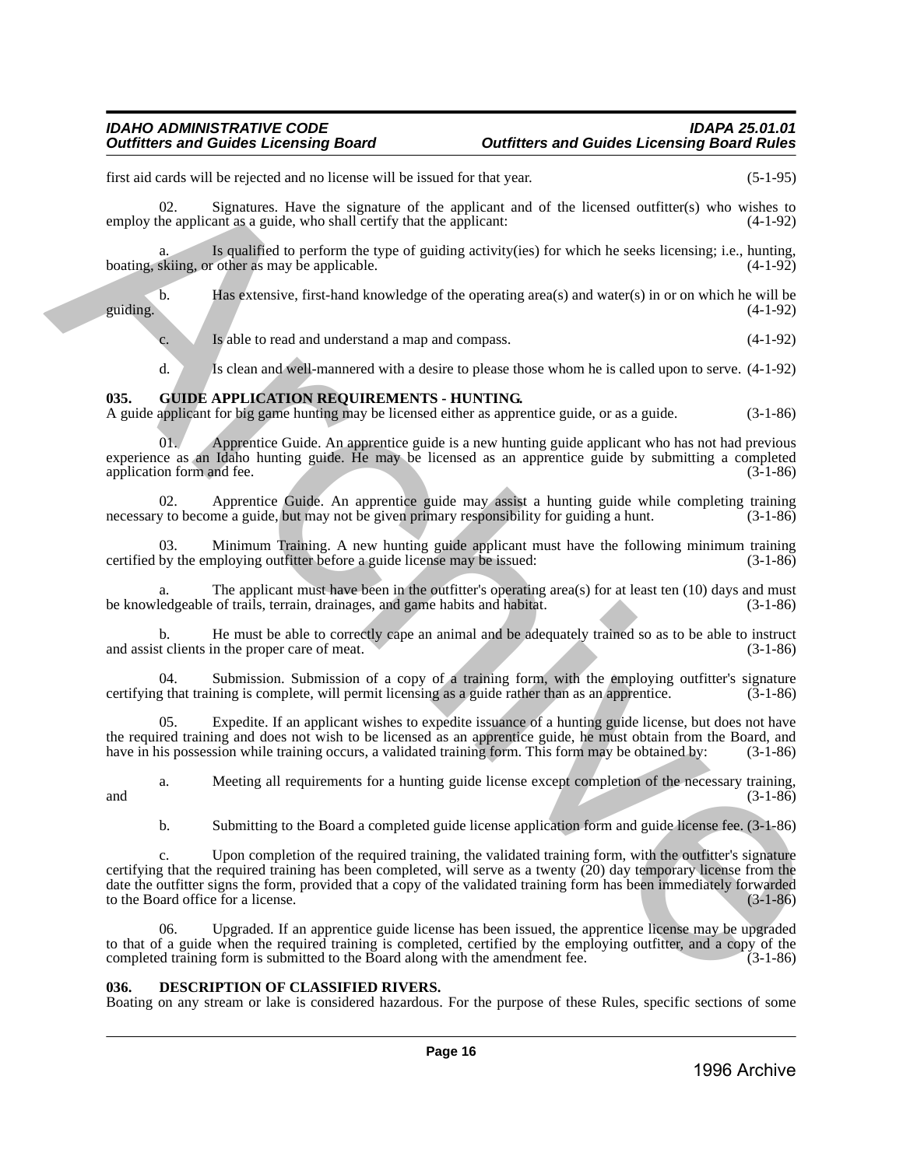first aid cards will be rejected and no license will be issued for that year. (5-1-95)

02. Signatures. Have the signature of the applicant and of the licensed outfitter(s) who wishes to employ the applicant as a guide, who shall certify that the applicant: (4-1-92)

Is qualified to perform the type of guiding activity(ies) for which he seeks licensing; i.e., hunting, r other as may be applicable.  $(4-1-92)$ boating, skiing, or other as may be applicable.

b. Has extensive, first-hand knowledge of the operating area(s) and water(s) in or on which he will be guiding. (4-1-92)

c. Is able to read and understand a map and compass.  $(4-1-92)$ 

d. Is clean and well-mannered with a desire to please those whom he is called upon to serve. (4-1-92)

### <span id="page-15-0"></span>**035. GUIDE APPLICATION REQUIREMENTS - HUNTING.**

A guide applicant for big game hunting may be licensed either as apprentice guide, or as a guide. (3-1-86)

01. Apprentice Guide. An apprentice guide is a new hunting guide applicant who has not had previous experience as an Idaho hunting guide. He may be licensed as an apprentice guide by submitting a completed application form and fee. (3-1-86) application form and fee.

02. Apprentice Guide. An apprentice guide may assist a hunting guide while completing training  $y$  to become a guide, but may not be given primary responsibility for guiding a hunt.  $(3-1-86)$ necessary to become a guide, but may not be given primary responsibility for guiding a hunt.

03. Minimum Training. A new hunting guide applicant must have the following minimum training by the employing outfitter before a guide license may be issued: (3-1-86) certified by the employing outfitter before a guide license may be issued:

The applicant must have been in the outfitter's operating area(s) for at least ten  $(10)$  days and must be knowledgeable of trails, terrain, drainages, and game habits and habitat. (3-1-86)

b. He must be able to correctly cape an animal and be adequately trained so as to be able to instruct t clients in the proper care of meat. (3-1-86) and assist clients in the proper care of meat.

04. Submission. Submission of a copy of a training form, with the employing outfitter's signature g that training is complete, will permit licensing as a guide rather than as an apprentice. (3-1-86) certifying that training is complete, will permit licensing as a guide rather than as an apprentice.

05. Expedite. If an applicant wishes to expedite issuance of a hunting guide license, but does not have the required training and does not wish to be licensed as an apprentice guide, he must obtain from the Board, and have in his possession while training occurs, a validated training form. This form may be obtained by: (3-1have in his possession while training occurs, a validated training form. This form may be obtained by:

a. Meeting all requirements for a hunting guide license except completion of the necessary training,  $(3-1-86)$ 

b. Submitting to the Board a completed guide license application form and guide license fee. (3-1-86)

c. Upon completion of the required training, the validated training form, with the outfitter's signature certifying that the required training has been completed, will serve as a twenty (20) day temporary license from the date the outfitter signs the form, provided that a copy of the validated training form has been immediately forwarded to the Board office for a license. (3-1-86) to the Board office for a license. First aid cannot with be repleted and an iterative higher sound life the species of the species of the species of the species of the species of the species of the species of the species of the species of the species of th

06. Upgraded. If an apprentice guide license has been issued, the apprentice license may be upgraded to that of a guide when the required training is completed, certified by the employing outfitter, and a copy of the completed training form is submitted to the Board along with the amendment fee. (3-1-86) completed training form is submitted to the Board along with the amendment fee.

### <span id="page-15-1"></span>**036. DESCRIPTION OF CLASSIFIED RIVERS.**

Boating on any stream or lake is considered hazardous. For the purpose of these Rules, specific sections of some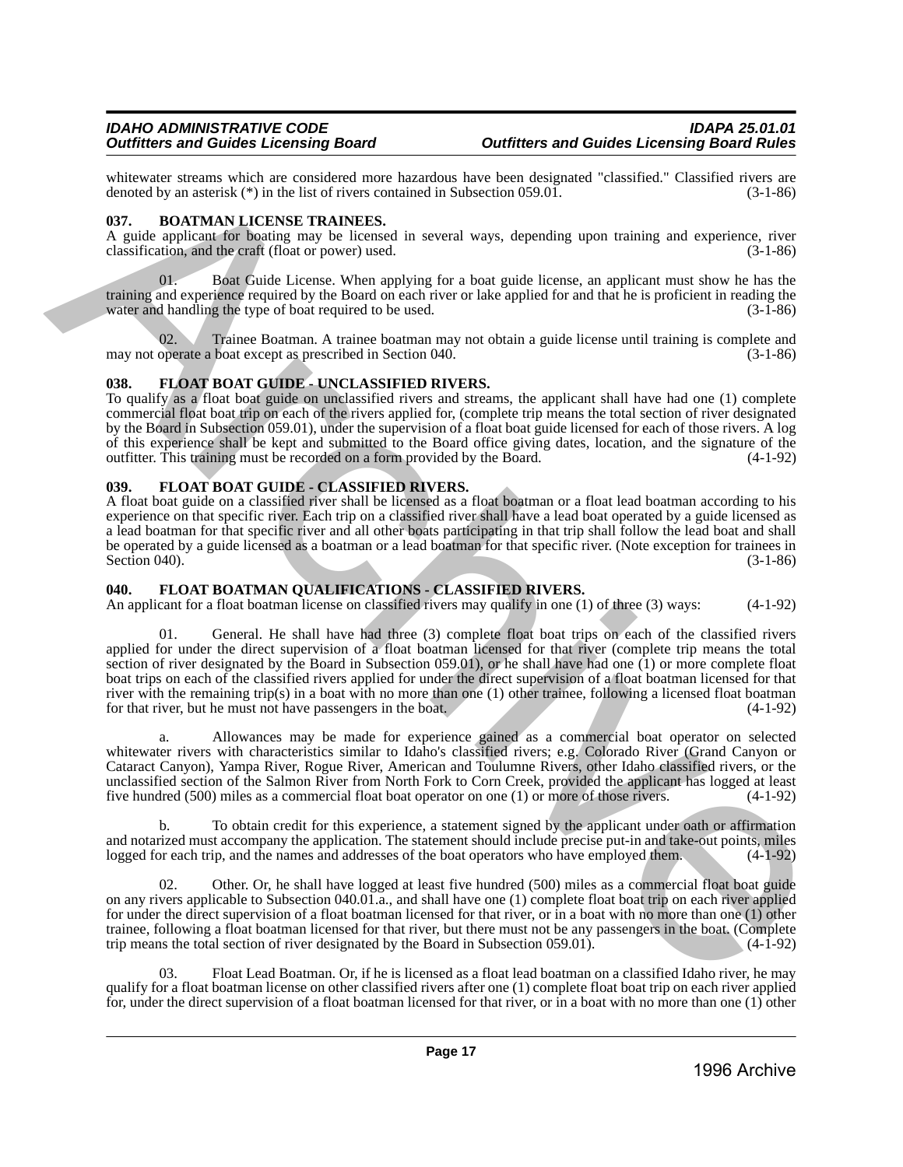whitewater streams which are considered more hazardous have been designated "classified." Classified rivers are denoted by an asterisk (\*) in the list of rivers contained in Subsection 059.01. denoted by an asterisk  $(*)$  in the list of rivers contained in Subsection 059.01.

# <span id="page-16-0"></span>**037. BOATMAN LICENSE TRAINEES.**

A guide applicant for boating may be licensed in several ways, depending upon training and experience, river classification, and the craft (float or power) used. (3-1-86)

Boat Guide License. When applying for a boat guide license, an applicant must show he has the training and experience required by the Board on each river or lake applied for and that he is proficient in reading the water and handling the type of boat required to be used. (3-1-86)

Trainee Boatman. A trainee boatman may not obtain a guide license until training is complete and boat except as prescribed in Section 040. may not operate a boat except as prescribed in Section 040.

# <span id="page-16-1"></span>**038. FLOAT BOAT GUIDE - UNCLASSIFIED RIVERS.**

To qualify as a float boat guide on unclassified rivers and streams, the applicant shall have had one (1) complete commercial float boat trip on each of the rivers applied for, (complete trip means the total section of river designated by the Board in Subsection 059.01), under the supervision of a float boat guide licensed for each of those rivers. A log of this experience shall be kept and submitted to the Board office giving dates, location, and the signature of the outfitter. This training must be recorded on a form provided by the Board.

# <span id="page-16-2"></span>**039. FLOAT BOAT GUIDE - CLASSIFIED RIVERS.**

A float boat guide on a classified river shall be licensed as a float boatman or a float lead boatman according to his experience on that specific river. Each trip on a classified river shall have a lead boat operated by a guide licensed as a lead boatman for that specific river and all other boats participating in that trip shall follow the lead boat and shall be operated by a guide licensed as a boatman or a lead boatman for that specific river. (Note exception for trainees in Section 040). (3-1-86) Section 040).

# <span id="page-16-3"></span>**040. FLOAT BOATMAN QUALIFICATIONS - CLASSIFIED RIVERS.**

An applicant for a float boatman license on classified rivers may qualify in one (1) of three (3) ways: (4-1-92)

01. General. He shall have had three (3) complete float boat trips on each of the classified rivers applied for under the direct supervision of a float boatman licensed for that river (complete trip means the total section of river designated by the Board in Subsection 059.01), or he shall have had one (1) or more complete float boat trips on each of the classified rivers applied for under the direct supervision of a float boatman licensed for that river with the remaining trip(s) in a boat with no more than one (1) other trainee, following a licensed float boatman for that river, but he must not have passengers in the boat. (4-1-92) whenever shown which are consistent more baready as these has been designed. Classified: "Classified right and the state of the state of the state of the state of the state of the state of the state of the state of the st

a. Allowances may be made for experience gained as a commercial boat operator on selected whitewater rivers with characteristics similar to Idaho's classified rivers; e.g. Colorado River (Grand Canyon or Cataract Canyon), Yampa River, Rogue River, American and Toulumne Rivers, other Idaho classified rivers, or the unclassified section of the Salmon River from North Fork to Corn Creek, provided the applicant has logged at least five hundred (500) miles as a commercial float boat operator on one (1) or more of those rivers. (4-1-92)

b. To obtain credit for this experience, a statement signed by the applicant under oath or affirmation and notarized must accompany the application. The statement should include precise put-in and take-out points, miles logged for each trip, and the names and addresses of the boat operators who have employed them. (4-1-92)

02. Other. Or, he shall have logged at least five hundred (500) miles as a commercial float boat guide on any rivers applicable to Subsection 040.01.a., and shall have one (1) complete float boat trip on each river applied for under the direct supervision of a float boatman licensed for that river, or in a boat with no more than one (1) other trainee, following a float boatman licensed for that river, but there must not be any passengers in the boat. (Complete trip means the total section of river designated by the Board in Subsection 059.01). (4-1-92) trip means the total section of river designated by the Board in Subsection 059.01).

03. Float Lead Boatman. Or, if he is licensed as a float lead boatman on a classified Idaho river, he may qualify for a float boatman license on other classified rivers after one (1) complete float boat trip on each river applied for, under the direct supervision of a float boatman licensed for that river, or in a boat with no more than one (1) other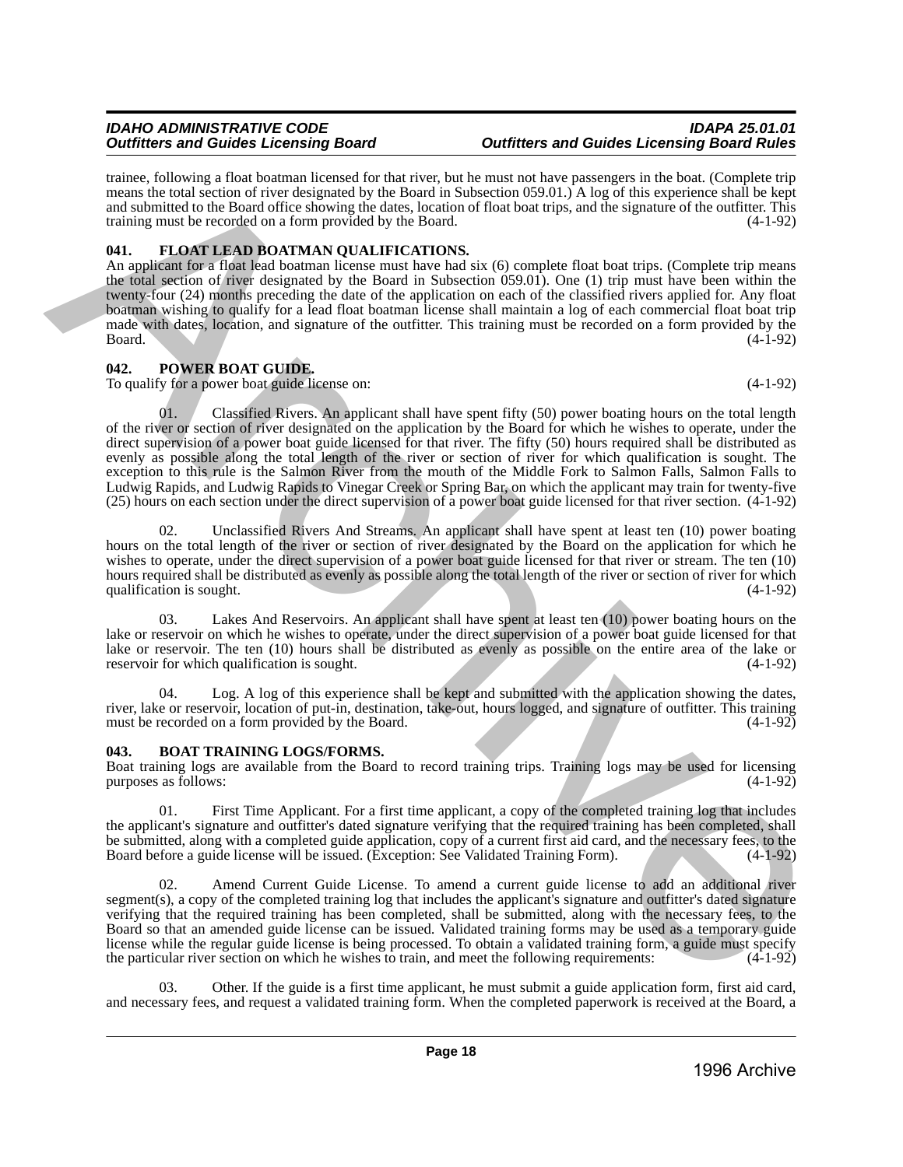trainee, following a float boatman licensed for that river, but he must not have passengers in the boat. (Complete trip means the total section of river designated by the Board in Subsection 059.01.) A log of this experience shall be kept and submitted to the Board office showing the dates, location of float boat trips, and the signature of the outfitter. This training must be recorded on a form provided by the Board. (4-1-92)

# <span id="page-17-0"></span>**041. FLOAT LEAD BOATMAN QUALIFICATIONS.**

An applicant for a float lead boatman license must have had six (6) complete float boat trips. (Complete trip means the total section of river designated by the Board in Subsection 059.01). One (1) trip must have been within the twenty-four (24) months preceding the date of the application on each of the classified rivers applied for. Any float boatman wishing to qualify for a lead float boatman license shall maintain a log of each commercial float boat trip made with dates, location, and signature of the outfitter. This training must be recorded on a form provided by the Board. (4-1-92)  $Board.$  (4-1-92)

# <span id="page-17-1"></span>**042. POWER BOAT GUIDE.**

To qualify for a power boat guide license on: (4-1-92)

01. Classified Rivers. An applicant shall have spent fifty (50) power boating hours on the total length of the river or section of river designated on the application by the Board for which he wishes to operate, under the direct supervision of a power boat guide licensed for that river. The fifty (50) hours required shall be distributed as evenly as possible along the total length of the river or section of river for which qualification is sought. The exception to this rule is the Salmon River from the mouth of the Middle Fork to Salmon Falls, Salmon Falls to Ludwig Rapids, and Ludwig Rapids to Vinegar Creek or Spring Bar, on which the applicant may train for twenty-five (25) hours on each section under the direct supervision of a power boat guide licensed for that river section. (4-1-92) mense. Inhibition is then the mean benefit of the form half-then the the mean to the people in the heliod Complete Prior (1990) and the system of the system of the system of the system of the system of the system of the s

02. Unclassified Rivers And Streams. An applicant shall have spent at least ten (10) power boating hours on the total length of the river or section of river designated by the Board on the application for which he wishes to operate, under the direct supervision of a power boat guide licensed for that river or stream. The ten (10) hours required shall be distributed as evenly as possible along the total length of the river or section of river for which qualification is sought. (4-1-92) qualification is sought.

03. Lakes And Reservoirs. An applicant shall have spent at least ten (10) power boating hours on the lake or reservoir on which he wishes to operate, under the direct supervision of a power boat guide licensed for that lake or reservoir. The ten (10) hours shall be distributed as evenly as possible on the entire area of the lake or reservoir for which qualification is sought. (4-1-92)

04. Log. A log of this experience shall be kept and submitted with the application showing the dates, river, lake or reservoir, location of put-in, destination, take-out, hours logged, and signature of outfitter. This training must be recorded on a form provided by the Board.

# <span id="page-17-2"></span>**043. BOAT TRAINING LOGS/FORMS.**

Boat training logs are available from the Board to record training trips. Training logs may be used for licensing purposes as follows: (4-1-92) purposes as follows:

01. First Time Applicant. For a first time applicant, a copy of the completed training log that includes the applicant's signature and outfitter's dated signature verifying that the required training has been completed, shall be submitted, along with a completed guide application, copy of a current first aid card, and the necessary fees, to the Board before a guide license will be issued. (Exception: See Validated Training Form). (4-1-92)

02. Amend Current Guide License. To amend a current guide license to add an additional river segment(s), a copy of the completed training log that includes the applicant's signature and outfitter's dated signature verifying that the required training has been completed, shall be submitted, along with the necessary fees, to the Board so that an amended guide license can be issued. Validated training forms may be used as a temporary guide license while the regular guide license is being processed. To obtain a validated training form, a guide must specify the particular river section on which he wishes to train, and meet the following requirements: (4-1-92)

03. Other. If the guide is a first time applicant, he must submit a guide application form, first aid card, and necessary fees, and request a validated training form. When the completed paperwork is received at the Board, a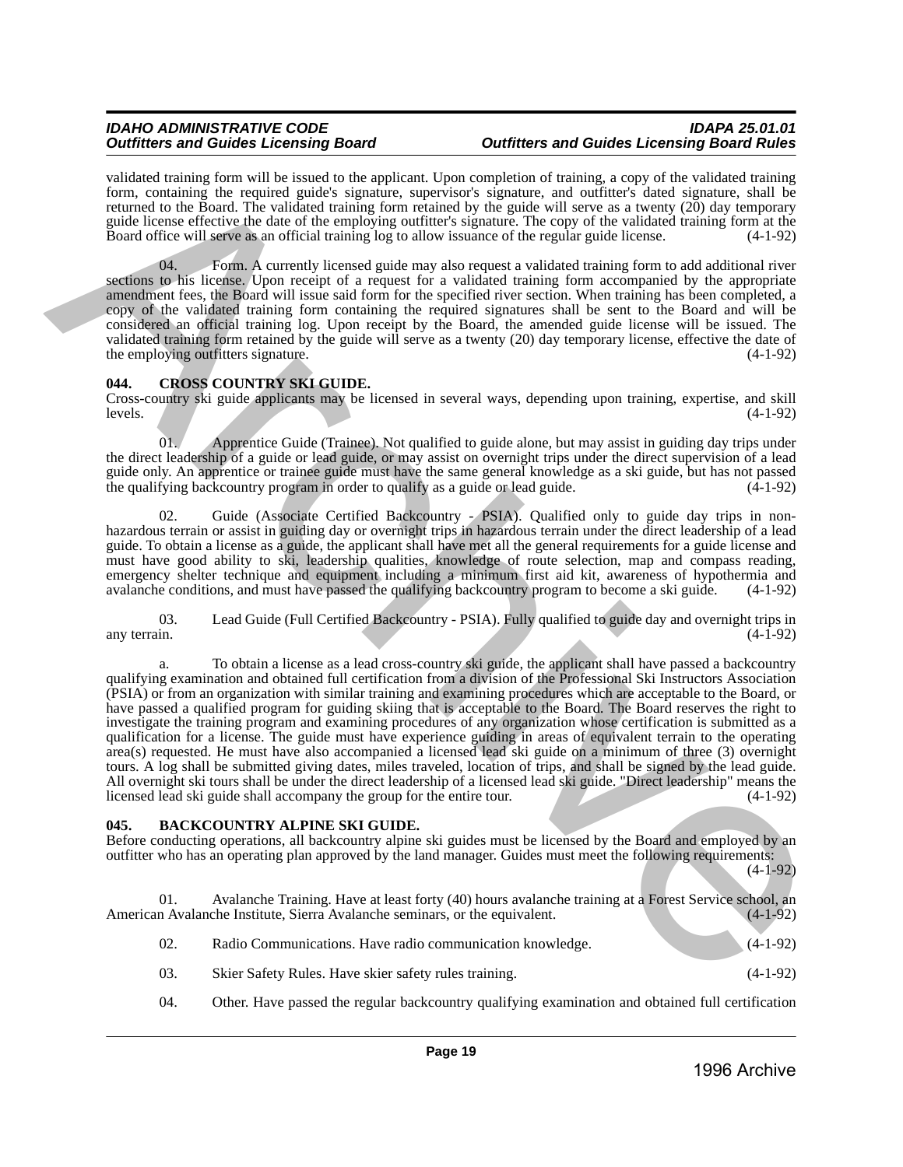validated training form will be issued to the applicant. Upon completion of training, a copy of the validated training form, containing the required guide's signature, supervisor's signature, and outfitter's dated signature, shall be returned to the Board. The validated training form retained by the guide will serve as a twenty (20) day temporary guide license effective the date of the employing outfitter's signature. The copy of the validated training form at the Board office will serve as an official training log to allow issuance of the regular guide license. (4-1-92)

04. Form. A currently licensed guide may also request a validated training form to add additional river sections to his license. Upon receipt of a request for a validated training form accompanied by the appropriate amendment fees, the Board will issue said form for the specified river section. When training has been completed, a copy of the validated training form containing the required signatures shall be sent to the Board and will be considered an official training log. Upon receipt by the Board, the amended guide license will be issued. The validated training form retained by the guide will serve as a twenty (20) day temporary license, effective the date of the employing outfitters signature. (4-1-92) the employing outfitters signature.

### <span id="page-18-0"></span>**044. CROSS COUNTRY SKI GUIDE.**

Cross-country ski guide applicants may be licensed in several ways, depending upon training, expertise, and skill levels.  $(4-1-92)$ 

01. Apprentice Guide (Trainee). Not qualified to guide alone, but may assist in guiding day trips under the direct leadership of a guide or lead guide, or may assist on overnight trips under the direct supervision of a lead guide only. An apprentice or trainee guide must have the same general knowledge as a ski guide, but has not passed the qualifying backcountry program in order to qualify as a guide or lead guide.

02. Guide (Associate Certified Backcountry - PSIA). Qualified only to guide day trips in nonhazardous terrain or assist in guiding day or overnight trips in hazardous terrain under the direct leadership of a lead guide. To obtain a license as a guide, the applicant shall have met all the general requirements for a guide license and must have good ability to ski, leadership qualities, knowledge of route selection, map and compass reading, emergency shelter technique and equipment including a minimum first aid kit, awareness of hypothermia and avalanche conditions, and must have passed the qualifying backcountry program to become a ski guide. (4-1-92) avalanche conditions, and must have passed the qualifying backcountry program to become a ski guide.

03. Lead Guide (Full Certified Backcountry - PSIA). Fully qualified to guide day and overnight trips in (4-1-92) any terrain. (4-1-92)

To obtain a license as a lead cross-country ski guide, the applicant shall have passed a backcountry qualifying examination and obtained full certification from a division of the Professional Ski Instructors Association (PSIA) or from an organization with similar training and examining procedures which are acceptable to the Board, or have passed a qualified program for guiding skiing that is acceptable to the Board. The Board reserves the right to investigate the training program and examining procedures of any organization whose certification is submitted as a qualification for a license. The guide must have experience guiding in areas of equivalent terrain to the operating area(s) requested. He must have also accompanied a licensed lead ski guide on a minimum of three (3) overnight tours. A log shall be submitted giving dates, miles traveled, location of trips, and shall be signed by the lead guide. All overnight ski tours shall be under the direct leadership of a licensed lead ski guide. "Direct leadership" means the licensed lead ski guide shall accompany the group for the entire tour. (4-1-92) values are only the search of the two projects (spending only of the proposition of the search of the search of the search of the search of the search of the search of the search of the search of the search of the search

# <span id="page-18-1"></span>**045. BACKCOUNTRY ALPINE SKI GUIDE.**

Before conducting operations, all backcountry alpine ski guides must be licensed by the Board and employed by an outfitter who has an operating plan approved by the land manager. Guides must meet the following requirements: (4-1-92)

01. Avalanche Training. Have at least forty (40) hours avalanche training at a Forest Service school, an Avalanche Institute, Sierra Avalanche seminars, or the equivalent. (4-1-92) American Avalanche Institute, Sierra Avalanche seminars, or the equivalent.

| 02. | Radio Communications. Have radio communication knowledge. | $(4-1-92)$ |
|-----|-----------------------------------------------------------|------------|
|     |                                                           |            |

- 03. Skier Safety Rules. Have skier safety rules training. (4-1-92)
- 04. Other. Have passed the regular backcountry qualifying examination and obtained full certification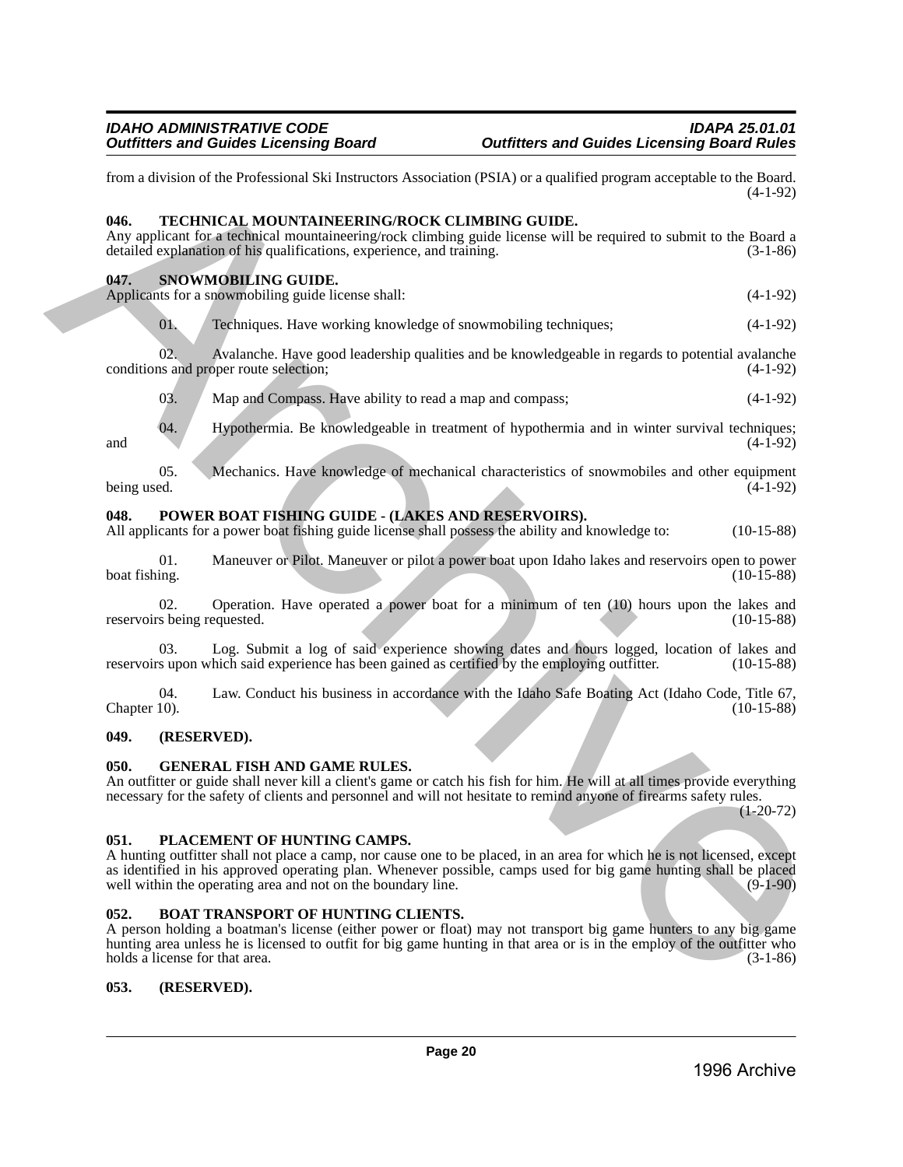<span id="page-19-1"></span><span id="page-19-0"></span>from a division of the Professional Ski Instructors Association (PSIA) or a qualified program acceptable to the Board. (4-1-92) **046. TECHNICAL MOUNTAINEERING/ROCK CLIMBING GUIDE.**  Any applicant for a technical mountaineering/rock climbing guide license will be required to submit to the Board a detailed explanation of his qualifications, experience, and training. (3-1-86) **047. SNOWMOBILING GUIDE.**  Applicants for a snowmobiling guide license shall: (4-1-92) 01. Techniques. Have working knowledge of snowmobiling techniques; (4-1-92) 02. Avalanche. Have good leadership qualities and be knowledgeable in regards to potential avalanche us and proper route selection; conditions and proper route selection; 03. Map and Compass. Have ability to read a map and compass;  $(4-1-92)$ 04. Hypothermia. Be knowledgeable in treatment of hypothermia and in winter survival techniques; and  $(4-1-92)$ 05. Mechanics. Have knowledge of mechanical characteristics of snowmobiles and other equipment (4-1-92) (4-1-92) being used.  $(4-1-92)$ **048. POWER BOAT FISHING GUIDE - (LAKES AND RESERVOIRS).**  All applicants for a power boat fishing guide license shall possess the ability and knowledge to: (10-15-88) 01. Maneuver or Pilot. Maneuver or pilot a power boat upon Idaho lakes and reservoirs open to power boat fishing. (10-15-88) (10-15-88) Form a division of the Professional Ski hustnesses Association (PSIA) or a qualitied regions acceptable to the Hard.<br> **Archive Archive ALAON MONEMERIENCONNOCK CLAMPING CONDITION:**<br>
Any applicant for a following interactio

<span id="page-19-2"></span>02. Operation. Have operated a power boat for a minimum of ten (10) hours upon the lakes and s being requested. (10-15-88) reservoirs being requested.

Log. Submit a log of said experience showing dates and hours logged, location of lakes and reservoirs upon which said experience has been gained as certified by the employing outfitter. (10-15-88)

04. Law. Conduct his business in accordance with the Idaho Safe Boating Act (Idaho Code, Title 67, Chapter 10). (10-15-88) Chapter 10). (10-15-88)

# <span id="page-19-3"></span>**049. (RESERVED).**

### <span id="page-19-4"></span>**050. GENERAL FISH AND GAME RULES.**

An outfitter or guide shall never kill a client's game or catch his fish for him. He will at all times provide everything necessary for the safety of clients and personnel and will not hesitate to remind anyone of firearms safety rules.

 $(1-20-72)$ 

### <span id="page-19-5"></span>**051. PLACEMENT OF HUNTING CAMPS.**

A hunting outfitter shall not place a camp, nor cause one to be placed, in an area for which he is not licensed, except as identified in his approved operating plan. Whenever possible, camps used for big game hunting shall be placed well within the operating area and not on the boundary line. (9-1-90) well within the operating area and not on the boundary line.

### <span id="page-19-6"></span>**052. BOAT TRANSPORT OF HUNTING CLIENTS.**

A person holding a boatman's license (either power or float) may not transport big game hunters to any big game hunting area unless he is licensed to outfit for big game hunting in that area or is in the employ of the outfitter who holds a license for that area. (3-1-86) (3-1-86)

### <span id="page-19-7"></span>**053. (RESERVED).**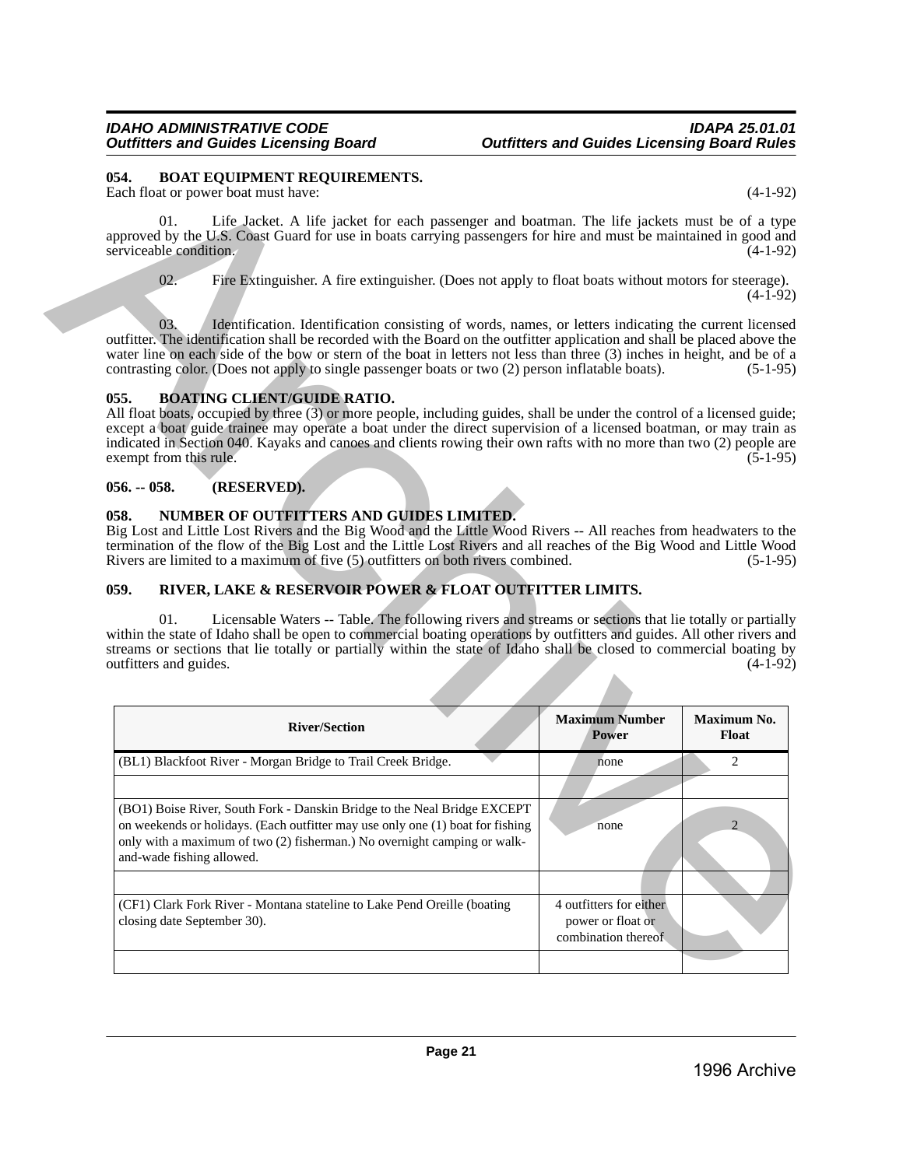### <span id="page-20-0"></span>**054. BOAT EQUIPMENT REQUIREMENTS.**

# <span id="page-20-1"></span>**055. BOATING CLIENT/GUIDE RATIO.**

# <span id="page-20-2"></span>**056. -- 058. (RESERVED).**

# <span id="page-20-3"></span>**058. NUMBER OF OUTFITTERS AND GUIDES LIMITED.**

# <span id="page-20-4"></span>**059. RIVER, LAKE & RESERVOIR POWER & FLOAT OUTFITTER LIMITS.**

| 054.          | Each float or power boat must have:                                                                                                                                                                                                                                                                                                                                                                                                                                                                                                                                                                                                                            |                                | $(4-1-92)$               |
|---------------|----------------------------------------------------------------------------------------------------------------------------------------------------------------------------------------------------------------------------------------------------------------------------------------------------------------------------------------------------------------------------------------------------------------------------------------------------------------------------------------------------------------------------------------------------------------------------------------------------------------------------------------------------------------|--------------------------------|--------------------------|
|               | 01.<br>Life Jacket. A life jacket for each passenger and boatman. The life jackets must be of a type<br>approved by the U.S. Coast Guard for use in boats carrying passengers for hire and must be maintained in good and<br>serviceable condition.                                                                                                                                                                                                                                                                                                                                                                                                            |                                | $(4-1-92)$               |
|               | 02.<br>Fire Extinguisher. A fire extinguisher. (Does not apply to float boats without motors for steerage).                                                                                                                                                                                                                                                                                                                                                                                                                                                                                                                                                    |                                | $(4-1-92)$               |
|               | Identification. Identification consisting of words, names, or letters indicating the current licensed<br>03.<br>outfitter. The identification shall be recorded with the Board on the outfitter application and shall be placed above the<br>water line on each side of the bow or stern of the boat in letters not less than three (3) inches in height, and be of a<br>contrasting color. (Does not apply to single passenger boats or two (2) person inflatable boats).                                                                                                                                                                                     |                                | $(5-1-95)$               |
| 055.          | <b>BOATING CLIENT/GUIDE RATIO.</b><br>All float boats, occupied by three (3) or more people, including guides, shall be under the control of a licensed guide;<br>except a boat guide trainee may operate a boat under the direct supervision of a licensed boatman, or may train as<br>indicated in Section 040. Kayaks and canoes and clients rowing their own rafts with no more than two (2) people are<br>exempt from this rule.                                                                                                                                                                                                                          |                                | $(5-1-95)$               |
| $056. - 058.$ | (RESERVED).                                                                                                                                                                                                                                                                                                                                                                                                                                                                                                                                                                                                                                                    |                                |                          |
|               | Big Lost and Little Lost Rivers and the Big Wood and the Little Wood Rivers -- All reaches from headwaters to the                                                                                                                                                                                                                                                                                                                                                                                                                                                                                                                                              |                                |                          |
| 059.          | termination of the flow of the Big Lost and the Little Lost Rivers and all reaches of the Big Wood and Little Wood<br>Rivers are limited to a maximum of five (5) outfitters on both rivers combined.<br>RIVER, LAKE & RESERVOIR POWER & FLOAT OUTFITTER LIMITS.<br>01.<br>Licensable Waters -- Table. The following rivers and streams or sections that lie totally or partially<br>within the state of Idaho shall be open to commercial boating operations by outfitters and guides. All other rivers and<br>streams or sections that lie totally or partially within the state of Idaho shall be closed to commercial boating by<br>outfitters and guides. |                                | $(5-1-95)$<br>$(4-1-92)$ |
|               |                                                                                                                                                                                                                                                                                                                                                                                                                                                                                                                                                                                                                                                                |                                |                          |
|               | <b>River/Section</b>                                                                                                                                                                                                                                                                                                                                                                                                                                                                                                                                                                                                                                           | <b>Maximum Number</b><br>Power | Float                    |
|               | (BL1) Blackfoot River - Morgan Bridge to Trail Creek Bridge.                                                                                                                                                                                                                                                                                                                                                                                                                                                                                                                                                                                                   | none                           | Maximum No.<br>2         |
|               |                                                                                                                                                                                                                                                                                                                                                                                                                                                                                                                                                                                                                                                                |                                |                          |
|               | (BO1) Boise River, South Fork - Danskin Bridge to the Neal Bridge EXCEPT<br>on weekends or holidays. (Each outfitter may use only one (1) boat for fishing<br>only with a maximum of two (2) fisherman.) No overnight camping or walk-<br>and-wade fishing allowed.                                                                                                                                                                                                                                                                                                                                                                                            | none                           | 2                        |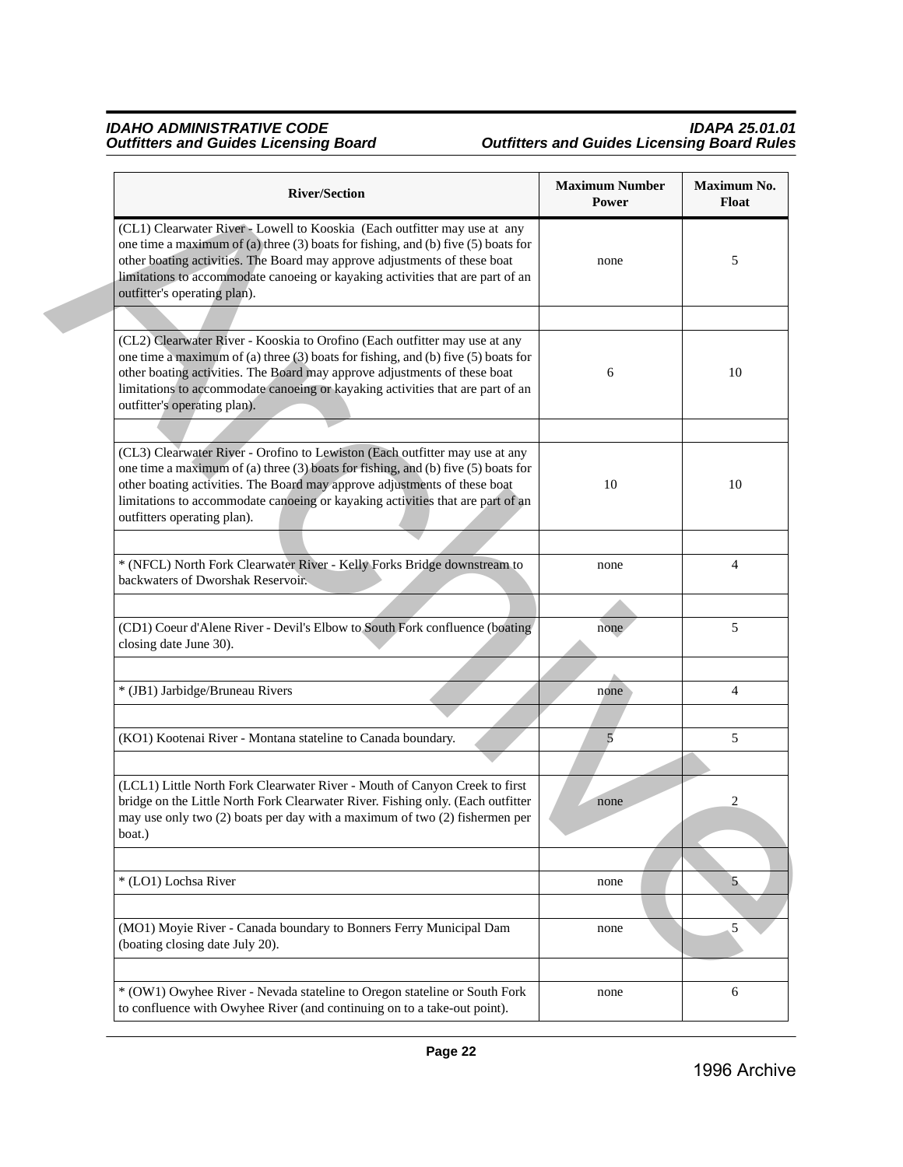| <b>River/Section</b>                                                                                                                                                                                                                                                                                                                                               | <b>Maximum Number</b><br>Power | Maximum No.<br>Float |
|--------------------------------------------------------------------------------------------------------------------------------------------------------------------------------------------------------------------------------------------------------------------------------------------------------------------------------------------------------------------|--------------------------------|----------------------|
| (CL1) Clearwater River - Lowell to Kooskia (Each outfitter may use at any<br>one time a maximum of (a) three $(3)$ boats for fishing, and (b) five $(5)$ boats for<br>other boating activities. The Board may approve adjustments of these boat<br>limitations to accommodate canoeing or kayaking activities that are part of an<br>outfitter's operating plan).  | none                           | 5                    |
|                                                                                                                                                                                                                                                                                                                                                                    |                                |                      |
| (CL2) Clearwater River - Kooskia to Orofino (Each outfitter may use at any<br>one time a maximum of (a) three $(3)$ boats for fishing, and (b) five $(5)$ boats for<br>other boating activities. The Board may approve adjustments of these boat<br>limitations to accommodate canoeing or kayaking activities that are part of an<br>outfitter's operating plan). | 6                              | 10                   |
|                                                                                                                                                                                                                                                                                                                                                                    |                                |                      |
| (CL3) Clearwater River - Orofino to Lewiston (Each outfitter may use at any<br>one time a maximum of (a) three (3) boats for fishing, and (b) five (5) boats for<br>other boating activities. The Board may approve adjustments of these boat<br>limitations to accommodate canoeing or kayaking activities that are part of an<br>outfitters operating plan).     | 10                             | 10                   |
|                                                                                                                                                                                                                                                                                                                                                                    |                                |                      |
| * (NFCL) North Fork Clearwater River - Kelly Forks Bridge downstream to<br>backwaters of Dworshak Reservoir.                                                                                                                                                                                                                                                       | none                           | $\overline{4}$       |
|                                                                                                                                                                                                                                                                                                                                                                    |                                |                      |
| (CD1) Coeur d'Alene River - Devil's Elbow to South Fork confluence (boating<br>closing date June 30).                                                                                                                                                                                                                                                              | none                           | 5                    |
| * (JB1) Jarbidge/Bruneau Rivers                                                                                                                                                                                                                                                                                                                                    | none                           | $\overline{4}$       |
|                                                                                                                                                                                                                                                                                                                                                                    |                                |                      |
| (KO1) Kootenai River - Montana stateline to Canada boundary.                                                                                                                                                                                                                                                                                                       | 5                              | 5                    |
|                                                                                                                                                                                                                                                                                                                                                                    |                                |                      |
| (LCL1) Little North Fork Clearwater River - Mouth of Canyon Creek to first<br>bridge on the Little North Fork Clearwater River. Fishing only. (Each outfitter<br>may use only two (2) boats per day with a maximum of two (2) fishermen per<br>boat.)                                                                                                              | none                           | 2                    |
|                                                                                                                                                                                                                                                                                                                                                                    |                                |                      |
| * (LO1) Lochsa River                                                                                                                                                                                                                                                                                                                                               | none                           | 5                    |
|                                                                                                                                                                                                                                                                                                                                                                    |                                |                      |
| (MO1) Moyie River - Canada boundary to Bonners Ferry Municipal Dam<br>(boating closing date July 20).                                                                                                                                                                                                                                                              | none                           | 5                    |
| * (OW1) Owyhee River - Nevada stateline to Oregon stateline or South Fork                                                                                                                                                                                                                                                                                          |                                | 6                    |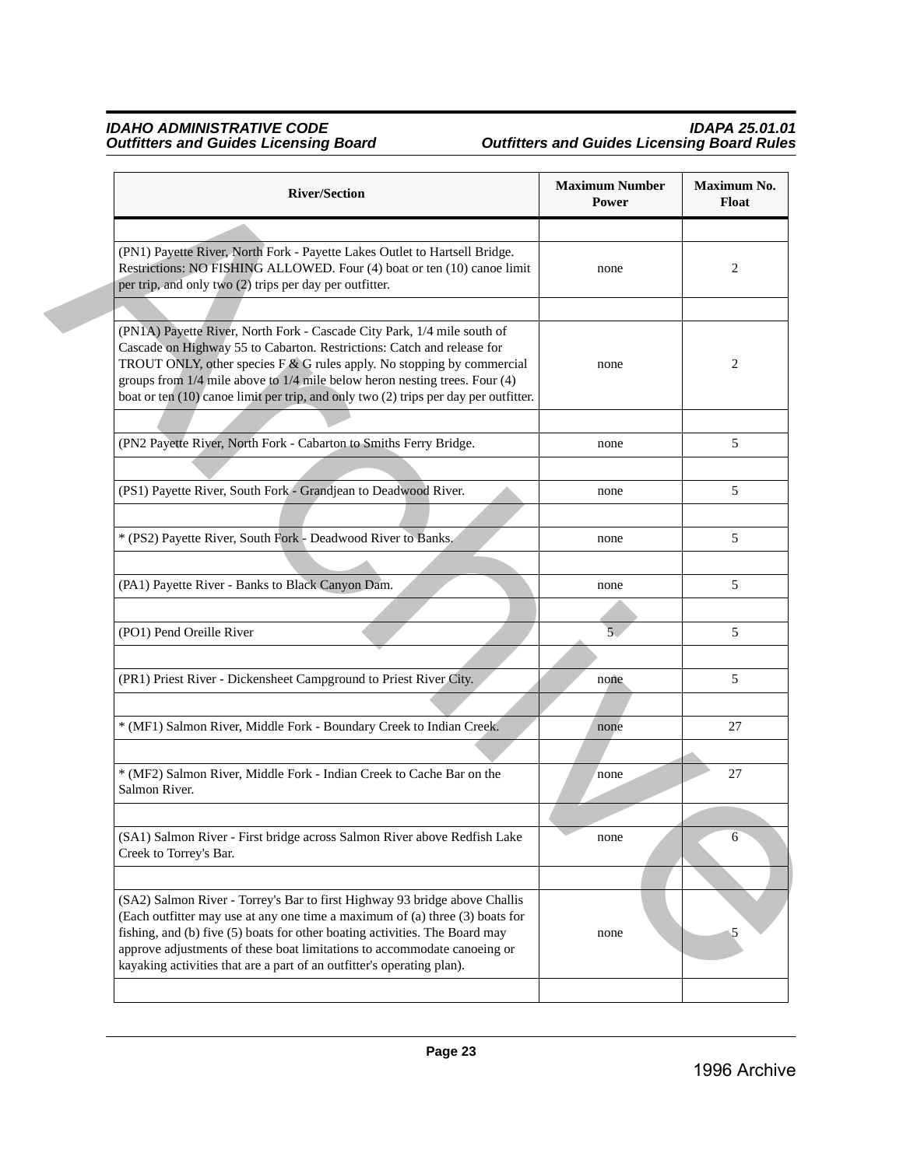| <b>River/Section</b>                                                                                                                                                                                                                                                                                                                                                                                      | <b>Maximum Number</b><br>Power | Maximum No.<br>Float |
|-----------------------------------------------------------------------------------------------------------------------------------------------------------------------------------------------------------------------------------------------------------------------------------------------------------------------------------------------------------------------------------------------------------|--------------------------------|----------------------|
|                                                                                                                                                                                                                                                                                                                                                                                                           |                                |                      |
| (PN1) Payette River, North Fork - Payette Lakes Outlet to Hartsell Bridge.<br>Restrictions: NO FISHING ALLOWED. Four (4) boat or ten (10) canoe limit<br>per trip, and only two (2) trips per day per outfitter.                                                                                                                                                                                          | none                           | 2                    |
|                                                                                                                                                                                                                                                                                                                                                                                                           |                                |                      |
| (PN1A) Payette River, North Fork - Cascade City Park, 1/4 mile south of<br>Cascade on Highway 55 to Cabarton. Restrictions: Catch and release for<br>TROUT ONLY, other species $F & G$ rules apply. No stopping by commercial<br>groups from $1/4$ mile above to $1/4$ mile below heron nesting trees. Four $(4)$<br>boat or ten (10) canoe limit per trip, and only two (2) trips per day per outfitter. | none                           | 2                    |
|                                                                                                                                                                                                                                                                                                                                                                                                           |                                |                      |
| (PN2 Payette River, North Fork - Cabarton to Smiths Ferry Bridge.                                                                                                                                                                                                                                                                                                                                         | none                           | 5                    |
|                                                                                                                                                                                                                                                                                                                                                                                                           |                                |                      |
| (PS1) Payette River, South Fork - Grandjean to Deadwood River.                                                                                                                                                                                                                                                                                                                                            | none                           | 5                    |
|                                                                                                                                                                                                                                                                                                                                                                                                           |                                |                      |
| * (PS2) Payette River, South Fork - Deadwood River to Banks.                                                                                                                                                                                                                                                                                                                                              | none                           | 5                    |
|                                                                                                                                                                                                                                                                                                                                                                                                           |                                |                      |
| (PA1) Payette River - Banks to Black Canyon Dam.                                                                                                                                                                                                                                                                                                                                                          | none                           | 5                    |
|                                                                                                                                                                                                                                                                                                                                                                                                           |                                |                      |
| (PO1) Pend Oreille River                                                                                                                                                                                                                                                                                                                                                                                  | $\overline{5}$                 | 5                    |
|                                                                                                                                                                                                                                                                                                                                                                                                           |                                |                      |
| (PR1) Priest River - Dickensheet Campground to Priest River City.                                                                                                                                                                                                                                                                                                                                         | none                           | 5                    |
|                                                                                                                                                                                                                                                                                                                                                                                                           |                                |                      |
| * (MF1) Salmon River, Middle Fork - Boundary Creek to Indian Creek.                                                                                                                                                                                                                                                                                                                                       | none                           | 27                   |
|                                                                                                                                                                                                                                                                                                                                                                                                           |                                |                      |
| * (MF2) Salmon River, Middle Fork - Indian Creek to Cache Bar on the<br>Salmon River.                                                                                                                                                                                                                                                                                                                     | none                           | 27                   |
|                                                                                                                                                                                                                                                                                                                                                                                                           |                                |                      |
| (SA1) Salmon River - First bridge across Salmon River above Redfish Lake<br>Creek to Torrey's Bar.                                                                                                                                                                                                                                                                                                        | none                           | 6                    |
|                                                                                                                                                                                                                                                                                                                                                                                                           |                                |                      |
| (SA2) Salmon River - Torrey's Bar to first Highway 93 bridge above Challis<br>(Each outfitter may use at any one time a maximum of (a) three (3) boats for<br>fishing, and (b) five (5) boats for other boating activities. The Board may<br>approve adjustments of these boat limitations to accommodate canoeing or<br>kayaking activities that are a part of an outfitter's operating plan).           | none                           | 5                    |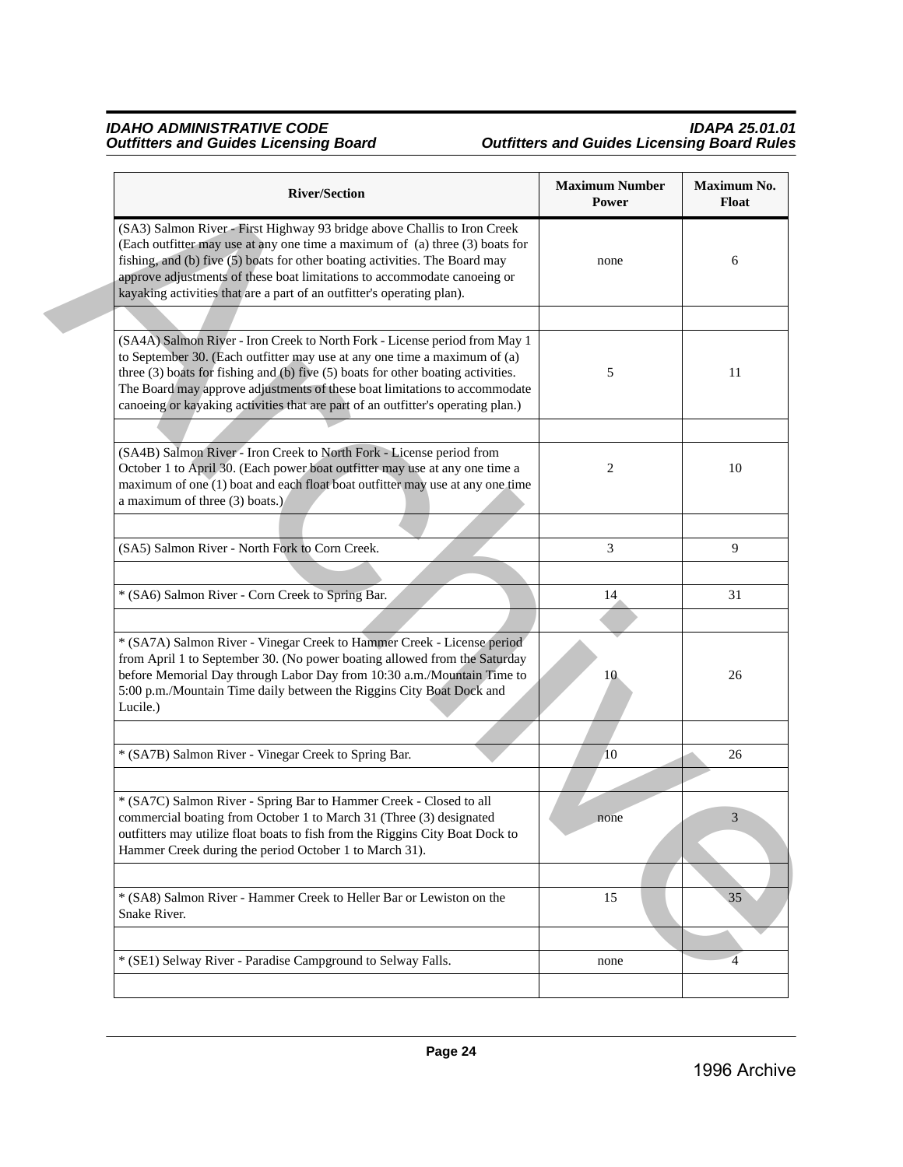| <b>River/Section</b>                                                                                                                                                                                                                                                                                                                                                                                          | <b>Maximum Number</b><br>Power | Maximum No.<br><b>Float</b> |
|---------------------------------------------------------------------------------------------------------------------------------------------------------------------------------------------------------------------------------------------------------------------------------------------------------------------------------------------------------------------------------------------------------------|--------------------------------|-----------------------------|
| (SA3) Salmon River - First Highway 93 bridge above Challis to Iron Creek<br>(Each outfitter may use at any one time a maximum of (a) three (3) boats for<br>fishing, and (b) five (5) boats for other boating activities. The Board may<br>approve adjustments of these boat limitations to accommodate canoeing or<br>kayaking activities that are a part of an outfitter's operating plan).                 | none                           | 6                           |
|                                                                                                                                                                                                                                                                                                                                                                                                               |                                |                             |
| (SA4A) Salmon River - Iron Creek to North Fork - License period from May 1<br>to September 30. (Each outfitter may use at any one time a maximum of (a)<br>three (3) boats for fishing and (b) five (5) boats for other boating activities.<br>The Board may approve adjustments of these boat limitations to accommodate<br>canoeing or kayaking activities that are part of an outfitter's operating plan.) | 5                              | 11                          |
|                                                                                                                                                                                                                                                                                                                                                                                                               |                                |                             |
| (SA4B) Salmon River - Iron Creek to North Fork - License period from<br>October 1 to April 30. (Each power boat outfitter may use at any one time a<br>maximum of one (1) boat and each float boat outfitter may use at any one time<br>a maximum of three $(3)$ boats.)                                                                                                                                      | 2                              | 10                          |
| (SA5) Salmon River - North Fork to Corn Creek.                                                                                                                                                                                                                                                                                                                                                                | 3                              | 9                           |
|                                                                                                                                                                                                                                                                                                                                                                                                               |                                |                             |
| * (SA6) Salmon River - Corn Creek to Spring Bar.                                                                                                                                                                                                                                                                                                                                                              | 14                             | 31                          |
|                                                                                                                                                                                                                                                                                                                                                                                                               |                                |                             |
| * (SA7A) Salmon River - Vinegar Creek to Hammer Creek - License period<br>from April 1 to September 30. (No power boating allowed from the Saturday<br>before Memorial Day through Labor Day from 10:30 a.m./Mountain Time to<br>5:00 p.m./Mountain Time daily between the Riggins City Boat Dock and<br>Lucile.)                                                                                             | 10                             | 26                          |
| * (SA7B) Salmon River - Vinegar Creek to Spring Bar.                                                                                                                                                                                                                                                                                                                                                          | 10                             | 26                          |
|                                                                                                                                                                                                                                                                                                                                                                                                               |                                |                             |
| * (SA7C) Salmon River - Spring Bar to Hammer Creek - Closed to all<br>commercial boating from October 1 to March 31 (Three (3) designated<br>outfitters may utilize float boats to fish from the Riggins City Boat Dock to<br>Hammer Creek during the period October 1 to March 31).                                                                                                                          | none                           | 3                           |
|                                                                                                                                                                                                                                                                                                                                                                                                               |                                |                             |
| * (SA8) Salmon River - Hammer Creek to Heller Bar or Lewiston on the<br>Snake River.                                                                                                                                                                                                                                                                                                                          | 15                             | 35                          |
|                                                                                                                                                                                                                                                                                                                                                                                                               |                                |                             |
| * (SE1) Selway River - Paradise Campground to Selway Falls.                                                                                                                                                                                                                                                                                                                                                   | none                           | $\overline{4}$              |
|                                                                                                                                                                                                                                                                                                                                                                                                               |                                |                             |
|                                                                                                                                                                                                                                                                                                                                                                                                               |                                |                             |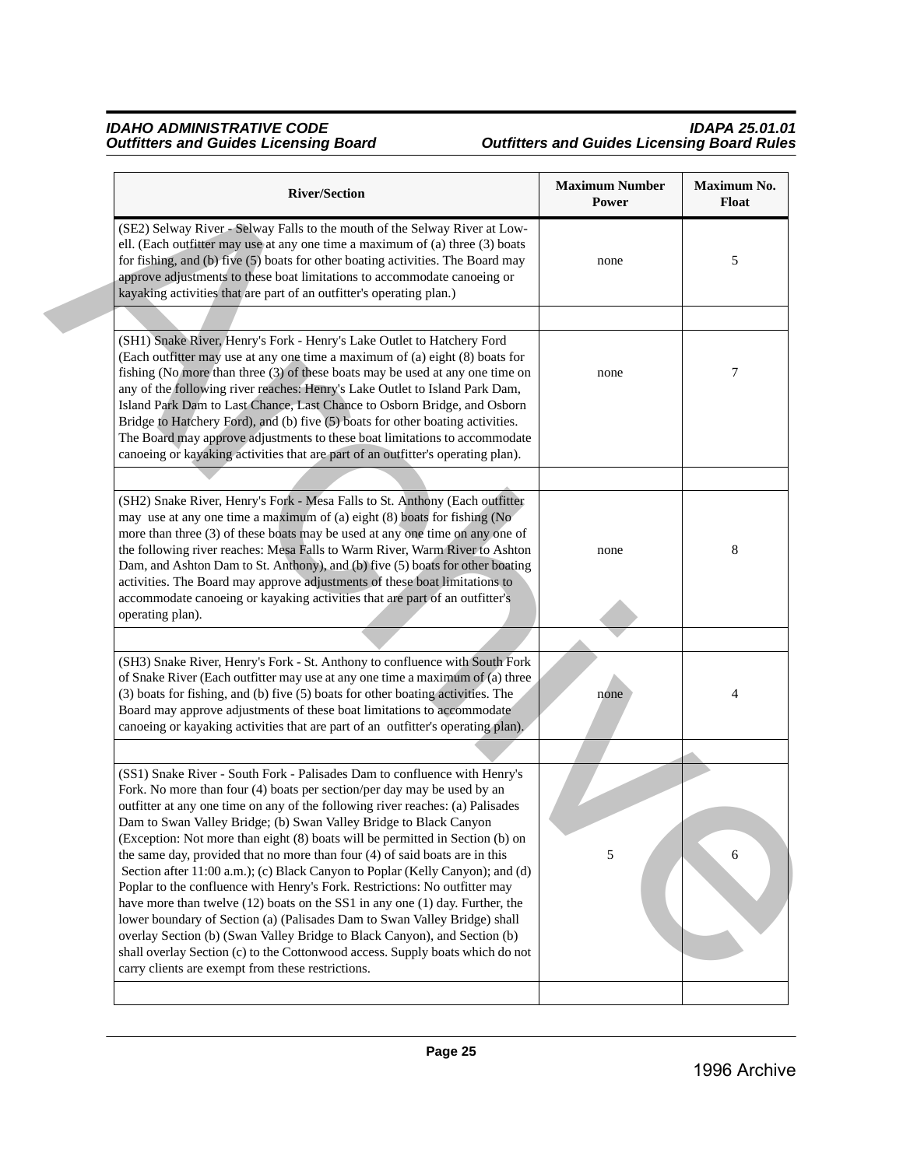| <b>River/Section</b>                                                                                                                                                                                                                                                                                                                                                                                                                                                                                                                                                                                                                                                                                                                                                                                                                                                                                                                                                                                                       | <b>Maximum Number</b><br>Power | Maximum No.<br><b>Float</b> |
|----------------------------------------------------------------------------------------------------------------------------------------------------------------------------------------------------------------------------------------------------------------------------------------------------------------------------------------------------------------------------------------------------------------------------------------------------------------------------------------------------------------------------------------------------------------------------------------------------------------------------------------------------------------------------------------------------------------------------------------------------------------------------------------------------------------------------------------------------------------------------------------------------------------------------------------------------------------------------------------------------------------------------|--------------------------------|-----------------------------|
| (SE2) Selway River - Selway Falls to the mouth of the Selway River at Low-<br>ell. (Each outfitter may use at any one time a maximum of (a) three (3) boats<br>for fishing, and (b) five (5) boats for other boating activities. The Board may<br>approve adjustments to these boat limitations to accommodate canoeing or<br>kayaking activities that are part of an outfitter's operating plan.)                                                                                                                                                                                                                                                                                                                                                                                                                                                                                                                                                                                                                         | none                           | 5                           |
|                                                                                                                                                                                                                                                                                                                                                                                                                                                                                                                                                                                                                                                                                                                                                                                                                                                                                                                                                                                                                            |                                |                             |
| (SH1) Snake River, Henry's Fork - Henry's Lake Outlet to Hatchery Ford<br>(Each outfitter may use at any one time a maximum of (a) eight (8) boats for<br>fishing (No more than three (3) of these boats may be used at any one time on<br>any of the following river reaches: Henry's Lake Outlet to Island Park Dam,<br>Island Park Dam to Last Chance, Last Chance to Osborn Bridge, and Osborn<br>Bridge to Hatchery Ford), and (b) five (5) boats for other boating activities.<br>The Board may approve adjustments to these boat limitations to accommodate<br>canoeing or kayaking activities that are part of an outfitter's operating plan).                                                                                                                                                                                                                                                                                                                                                                     | none                           | 7                           |
|                                                                                                                                                                                                                                                                                                                                                                                                                                                                                                                                                                                                                                                                                                                                                                                                                                                                                                                                                                                                                            |                                |                             |
| (SH2) Snake River, Henry's Fork - Mesa Falls to St. Anthony (Each outfitter<br>may use at any one time a maximum of (a) eight (8) boats for fishing (No<br>more than three (3) of these boats may be used at any one time on any one of<br>the following river reaches: Mesa Falls to Warm River, Warm River to Ashton<br>Dam, and Ashton Dam to St. Anthony), and (b) five (5) boats for other boating<br>activities. The Board may approve adjustments of these boat limitations to<br>accommodate canoeing or kayaking activities that are part of an outfitter's<br>operating plan).                                                                                                                                                                                                                                                                                                                                                                                                                                   | none                           | 8                           |
|                                                                                                                                                                                                                                                                                                                                                                                                                                                                                                                                                                                                                                                                                                                                                                                                                                                                                                                                                                                                                            |                                |                             |
| (SH3) Snake River, Henry's Fork - St. Anthony to confluence with South Fork<br>of Snake River (Each outfitter may use at any one time a maximum of (a) three<br>(3) boats for fishing, and (b) five (5) boats for other boating activities. The<br>Board may approve adjustments of these boat limitations to accommodate<br>canoeing or kayaking activities that are part of an outfitter's operating plan).                                                                                                                                                                                                                                                                                                                                                                                                                                                                                                                                                                                                              | none                           | 4                           |
|                                                                                                                                                                                                                                                                                                                                                                                                                                                                                                                                                                                                                                                                                                                                                                                                                                                                                                                                                                                                                            |                                |                             |
| (SS1) Snake River - South Fork - Palisades Dam to confluence with Henry's<br>Fork. No more than four (4) boats per section/per day may be used by an<br>outfitter at any one time on any of the following river reaches: (a) Palisades<br>Dam to Swan Valley Bridge; (b) Swan Valley Bridge to Black Canyon<br>(Exception: Not more than eight (8) boats will be permitted in Section (b) on<br>the same day, provided that no more than four (4) of said boats are in this<br>Section after 11:00 a.m.); (c) Black Canyon to Poplar (Kelly Canyon); and (d)<br>Poplar to the confluence with Henry's Fork. Restrictions: No outfitter may<br>have more than twelve (12) boats on the SS1 in any one (1) day. Further, the<br>lower boundary of Section (a) (Palisades Dam to Swan Valley Bridge) shall<br>overlay Section (b) (Swan Valley Bridge to Black Canyon), and Section (b)<br>shall overlay Section (c) to the Cottonwood access. Supply boats which do not<br>carry clients are exempt from these restrictions. | 5                              | 6                           |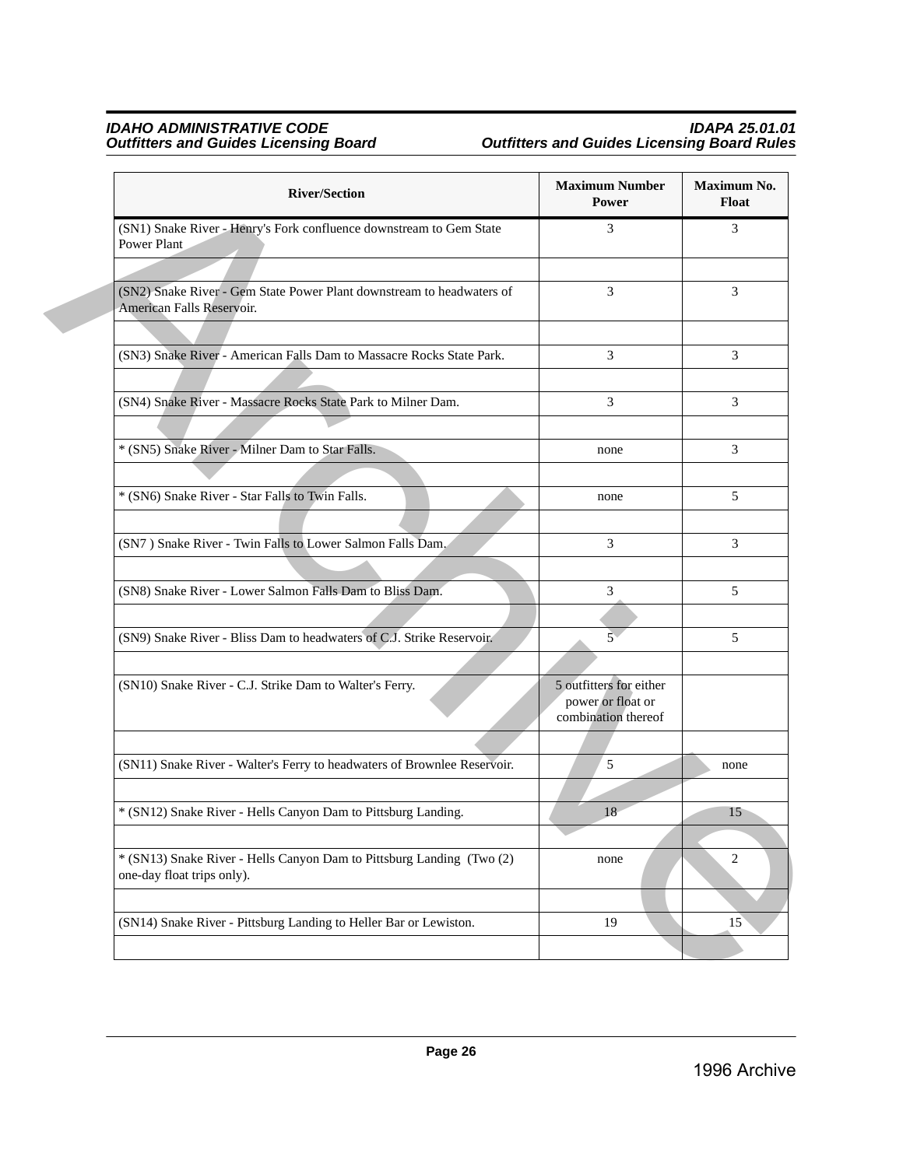| <b>River/Section</b>                                                                                | <b>Maximum Number</b><br>Power                                      | Maximum No.<br>Float |
|-----------------------------------------------------------------------------------------------------|---------------------------------------------------------------------|----------------------|
| (SN1) Snake River - Henry's Fork confluence downstream to Gem State<br>Power Plant                  | 3                                                                   | 3                    |
|                                                                                                     |                                                                     |                      |
| (SN2) Snake River - Gem State Power Plant downstream to headwaters of<br>American Falls Reservoir.  | 3                                                                   | 3                    |
|                                                                                                     |                                                                     |                      |
| (SN3) Snake River - American Falls Dam to Massacre Rocks State Park.                                | 3                                                                   | 3                    |
|                                                                                                     |                                                                     |                      |
| (SN4) Snake River - Massacre Rocks State Park to Milner Dam.                                        | 3                                                                   | 3                    |
|                                                                                                     |                                                                     |                      |
| * (SN5) Snake River - Milner Dam to Star Falls.                                                     | none                                                                | 3                    |
|                                                                                                     |                                                                     |                      |
| * (SN6) Snake River - Star Falls to Twin Falls.                                                     | none                                                                | 5                    |
|                                                                                                     |                                                                     |                      |
| (SN7) Snake River - Twin Falls to Lower Salmon Falls Dam.                                           | 3                                                                   | 3                    |
|                                                                                                     |                                                                     |                      |
| (SN8) Snake River - Lower Salmon Falls Dam to Bliss Dam.                                            | 3                                                                   | 5                    |
|                                                                                                     |                                                                     |                      |
| (SN9) Snake River - Bliss Dam to headwaters of C.J. Strike Reservoir.                               | $\overline{5}$                                                      | 5                    |
|                                                                                                     |                                                                     |                      |
| (SN10) Snake River - C.J. Strike Dam to Walter's Ferry.                                             | 5 outfitters for either<br>power or float or<br>combination thereof |                      |
|                                                                                                     |                                                                     |                      |
| (SN11) Snake River - Walter's Ferry to headwaters of Brownlee Reservoir.                            | 5                                                                   | none                 |
|                                                                                                     |                                                                     |                      |
| * (SN12) Snake River - Hells Canyon Dam to Pittsburg Landing.                                       | 18                                                                  | 15                   |
|                                                                                                     |                                                                     |                      |
| * (SN13) Snake River - Hells Canyon Dam to Pittsburg Landing (Two (2)<br>one-day float trips only). | none                                                                | 2                    |
|                                                                                                     |                                                                     |                      |
| (SN14) Snake River - Pittsburg Landing to Heller Bar or Lewiston.                                   | 19                                                                  | 15                   |
|                                                                                                     |                                                                     |                      |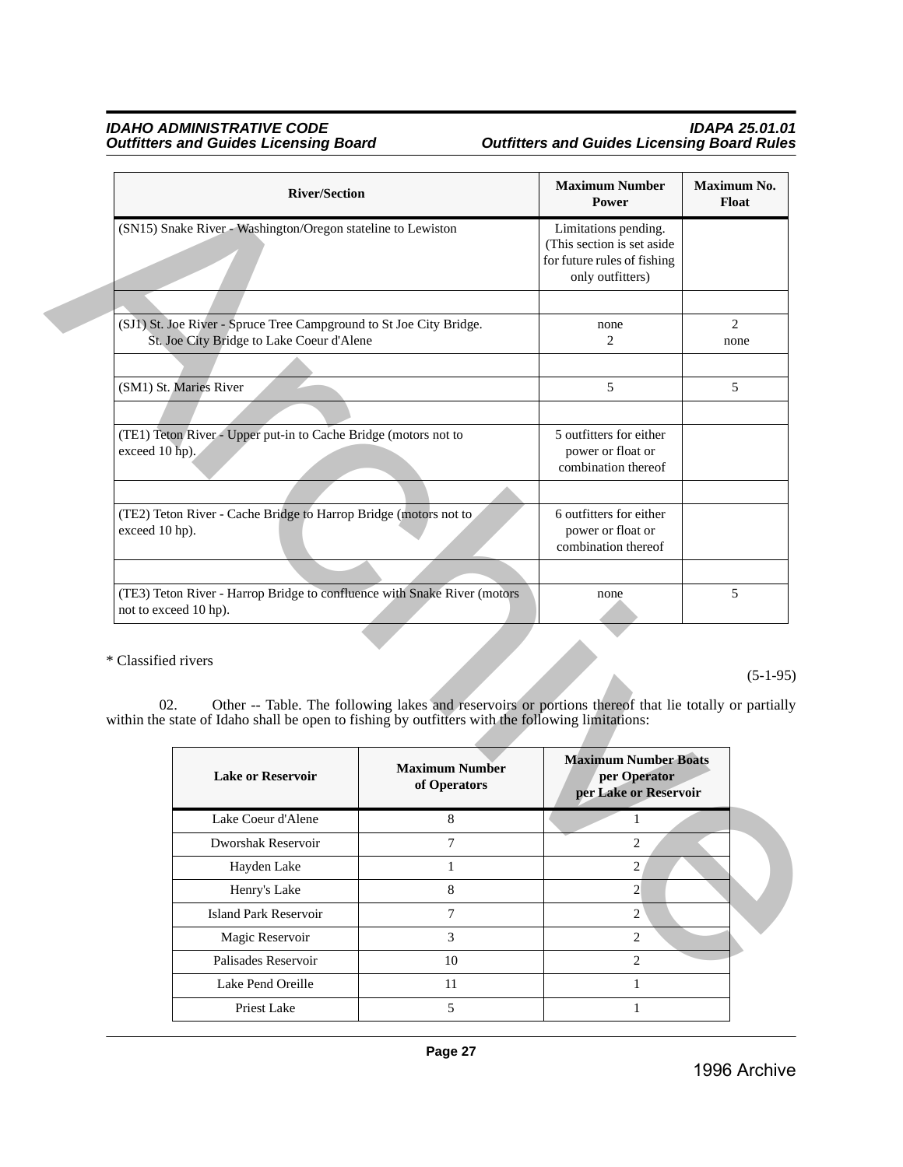|                     | <b>River/Section</b>                                                                                    |                                                                                                      | <b>Maximum Number</b><br>Power                                                                        | Maximum No.<br>Float |
|---------------------|---------------------------------------------------------------------------------------------------------|------------------------------------------------------------------------------------------------------|-------------------------------------------------------------------------------------------------------|----------------------|
|                     | (SN15) Snake River - Washington/Oregon stateline to Lewiston                                            |                                                                                                      | Limitations pending.<br>(This section is set aside<br>for future rules of fishing<br>only outfitters) |                      |
|                     |                                                                                                         |                                                                                                      |                                                                                                       |                      |
|                     | (SJ1) St. Joe River - Spruce Tree Campground to St Joe City Bridge.                                     |                                                                                                      | none                                                                                                  | 2                    |
|                     | St. Joe City Bridge to Lake Coeur d'Alene                                                               |                                                                                                      | $\overline{c}$                                                                                        | none                 |
|                     |                                                                                                         |                                                                                                      |                                                                                                       |                      |
|                     | (SM1) St. Maries River                                                                                  |                                                                                                      | 5                                                                                                     | 5                    |
|                     |                                                                                                         |                                                                                                      |                                                                                                       |                      |
| exceed 10 hp).      | (TE1) Teton River - Upper put-in to Cache Bridge (motors not to                                         |                                                                                                      | 5 outfitters for either<br>power or float or                                                          |                      |
|                     |                                                                                                         |                                                                                                      | combination thereof                                                                                   |                      |
|                     |                                                                                                         |                                                                                                      |                                                                                                       |                      |
|                     | (TE2) Teton River - Cache Bridge to Harrop Bridge (motors not to                                        |                                                                                                      | 6 outfitters for either                                                                               |                      |
|                     | exceed 10 hp).                                                                                          |                                                                                                      | power or float or<br>combination thereof                                                              |                      |
|                     |                                                                                                         |                                                                                                      |                                                                                                       |                      |
|                     | (TE3) Teton River - Harrop Bridge to confluence with Snake River (motors                                |                                                                                                      | none                                                                                                  | 5                    |
|                     | not to exceed 10 hp).                                                                                   |                                                                                                      |                                                                                                       |                      |
| * Classified rivers | 02.<br>within the state of Idaho shall be open to fishing by outfitters with the following limitations: | Other -- Table. The following lakes and reservoirs or portions thereof that lie totally or partially | <b>Maximum Number Boats</b>                                                                           | $(5-1-95)$           |
|                     | <b>Lake or Reservoir</b>                                                                                | <b>Maximum Number</b><br>of Operators                                                                | per Operator<br>per Lake or Reservoir                                                                 |                      |
|                     | Lake Coeur d'Alene                                                                                      | 8                                                                                                    | 1                                                                                                     |                      |
|                     | Dworshak Reservoir                                                                                      | 7                                                                                                    | $\overline{c}$                                                                                        |                      |
|                     | Hayden Lake                                                                                             | $\mathbf{1}$                                                                                         | $\overline{2}$                                                                                        |                      |
|                     | Henry's Lake                                                                                            | $8\,$                                                                                                | $\overline{2}$                                                                                        |                      |
|                     | <b>Island Park Reservoir</b>                                                                            | $\tau$                                                                                               | $\overline{c}$                                                                                        |                      |
|                     | Magic Reservoir                                                                                         | 3                                                                                                    | $\overline{2}$                                                                                        |                      |
|                     | Palisades Reservoir                                                                                     | $10\,$                                                                                               | $\overline{2}$                                                                                        |                      |
|                     |                                                                                                         | 11                                                                                                   |                                                                                                       |                      |

| <b>Lake or Reservoir</b>     | <b>Maximum Number</b><br>of Operators | <b>Maximum Number Boats</b><br>per Operator<br>per Lake or Reservoir |
|------------------------------|---------------------------------------|----------------------------------------------------------------------|
| Lake Coeur d'Alene           | 8                                     |                                                                      |
| Dworshak Reservoir           | 7                                     | $\overline{c}$                                                       |
| Hayden Lake                  |                                       | 2                                                                    |
| Henry's Lake                 | 8                                     | $\overline{c}$                                                       |
| <b>Island Park Reservoir</b> | 7                                     | $\overline{c}$                                                       |
| Magic Reservoir              | 3                                     | $\mathfrak{D}$                                                       |
| Palisades Reservoir          | 10                                    | $\mathcal{D}_{\mathcal{L}}$                                          |
| Lake Pend Oreille            | 11                                    |                                                                      |
| Priest Lake                  | 5                                     |                                                                      |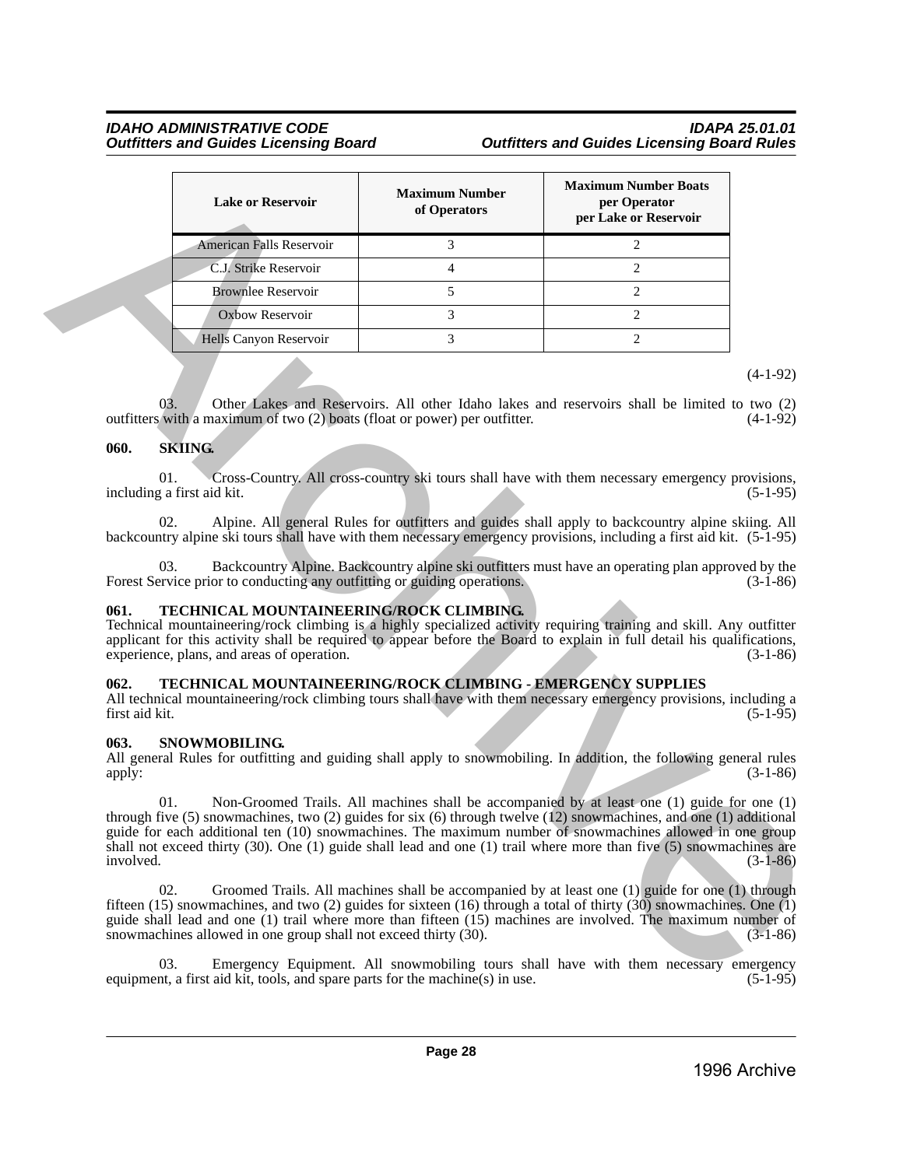|                        | <b>Lake or Reservoir</b>                                                                                                                                                                                                                                                                                                                                                       | <b>Maximum Number</b><br>of Operators | <b>Maximum Number Boats</b><br>per Operator<br>per Lake or Reservoir                                                                                                                                 |                          |
|------------------------|--------------------------------------------------------------------------------------------------------------------------------------------------------------------------------------------------------------------------------------------------------------------------------------------------------------------------------------------------------------------------------|---------------------------------------|------------------------------------------------------------------------------------------------------------------------------------------------------------------------------------------------------|--------------------------|
|                        | American Falls Reservoir                                                                                                                                                                                                                                                                                                                                                       | 3                                     | $\overline{c}$                                                                                                                                                                                       |                          |
|                        | C.J. Strike Reservoir                                                                                                                                                                                                                                                                                                                                                          | $\overline{4}$                        | $\overline{c}$                                                                                                                                                                                       |                          |
|                        | <b>Brownlee Reservoir</b>                                                                                                                                                                                                                                                                                                                                                      | 5                                     | $\overline{c}$                                                                                                                                                                                       |                          |
|                        | Oxbow Reservoir                                                                                                                                                                                                                                                                                                                                                                | 3                                     | 2                                                                                                                                                                                                    |                          |
|                        | Hells Canyon Reservoir                                                                                                                                                                                                                                                                                                                                                         | 3                                     | $\overline{2}$                                                                                                                                                                                       |                          |
|                        | 03.<br>outfitters with a maximum of two (2) boats (float or power) per outfitter.                                                                                                                                                                                                                                                                                              |                                       | Other Lakes and Reservoirs. All other Idaho lakes and reservoirs shall be limited to two (2)                                                                                                         | $(4-1-92)$<br>$(4-1-92)$ |
| 060.                   | <b>SKIING.</b>                                                                                                                                                                                                                                                                                                                                                                 |                                       |                                                                                                                                                                                                      |                          |
|                        | 01.<br>including a first aid kit.<br>02.<br>backcountry alpine ski tours shall have with them necessary emergency provisions, including a first aid kit. (5-1-95)                                                                                                                                                                                                              |                                       | Cross-Country. All cross-country ski tours shall have with them necessary emergency provisions,<br>Alpine. All general Rules for outfitters and guides shall apply to backcountry alpine skiing. All | $(5-1-95)$               |
|                        | 03.<br>Forest Service prior to conducting any outfitting or guiding operations.                                                                                                                                                                                                                                                                                                |                                       | Backcountry Alpine. Backcountry alpine ski outfitters must have an operating plan approved by the                                                                                                    | $(3-1-86)$               |
| 061.                   | TECHNICAL MOUNTAINEERING/ROCK CLIMBING.<br>Technical mountaineering/rock climbing is a highly specialized activity requiring training and skill. Any outfitter<br>applicant for this activity shall be required to appear before the Board to explain in full detail his qualifications,<br>experience, plans, and areas of operation.                                         |                                       |                                                                                                                                                                                                      | $(3-1-86)$               |
| 062.<br>first aid kit. | TECHNICAL MOUNTAINEERING/ROCK CLIMBING - EMERGENCY SUPPLIES<br>All technical mountaineering/rock climbing tours shall have with them necessary emergency provisions, including a                                                                                                                                                                                               |                                       |                                                                                                                                                                                                      | $(5-1-95)$               |
| 063.<br>apply:         | SNOWMOBILING.<br>All general Rules for outfitting and guiding shall apply to snowmobiling. In addition, the following general rules                                                                                                                                                                                                                                            |                                       |                                                                                                                                                                                                      | $(3-1-86)$               |
| involved.              | 01.<br>through five $(5)$ snowmachines, two $(2)$ guides for six $(6)$ through twelve $(12)$ snowmachines, and one $(1)$ additional<br>guide for each additional ten (10) snowmachines. The maximum number of snowmachines allowed in one group<br>shall not exceed thirty $(30)$ . One $(1)$ guide shall lead and one $(1)$ trail where more than five $(5)$ snowmachines are |                                       | Non-Groomed Trails. All machines shall be accompanied by at least one (1) guide for one (1)                                                                                                          | $(3-1-86)$               |
|                        | 02.<br>fifteen (15) snowmachines, and two (2) guides for sixteen (16) through a total of thirty (30) snowmachines. One (1)<br>guide shall lead and one (1) trail where more than fifteen (15) machines are involved. The maximum number of<br>snowmachines allowed in one group shall not exceed thirty (30).                                                                  |                                       | Groomed Trails. All machines shall be accompanied by at least one (1) guide for one (1) through                                                                                                      | $(3-1-86)$               |
|                        | 03.<br>equipment, a first aid kit, tools, and spare parts for the machine(s) in use.                                                                                                                                                                                                                                                                                           |                                       | Emergency Equipment. All snowmobiling tours shall have with them necessary emergency                                                                                                                 | $(5-1-95)$               |

# <span id="page-27-0"></span>**060. SKIING.**

# <span id="page-27-1"></span>**061. TECHNICAL MOUNTAINEERING/ROCK CLIMBING.**

### <span id="page-27-2"></span>**062. TECHNICAL MOUNTAINEERING/ROCK CLIMBING - EMERGENCY SUPPLIES**

### <span id="page-27-3"></span>**063. SNOWMOBILING.**

Emergency Equipment. All snowmobiling tours shall have with them necessary emergency aid kit, tools, and spare parts for the machine(s) in use.  $(5-1-95)$ equipment, a first aid kit, tools, and spare parts for the machine $(s)$  in use.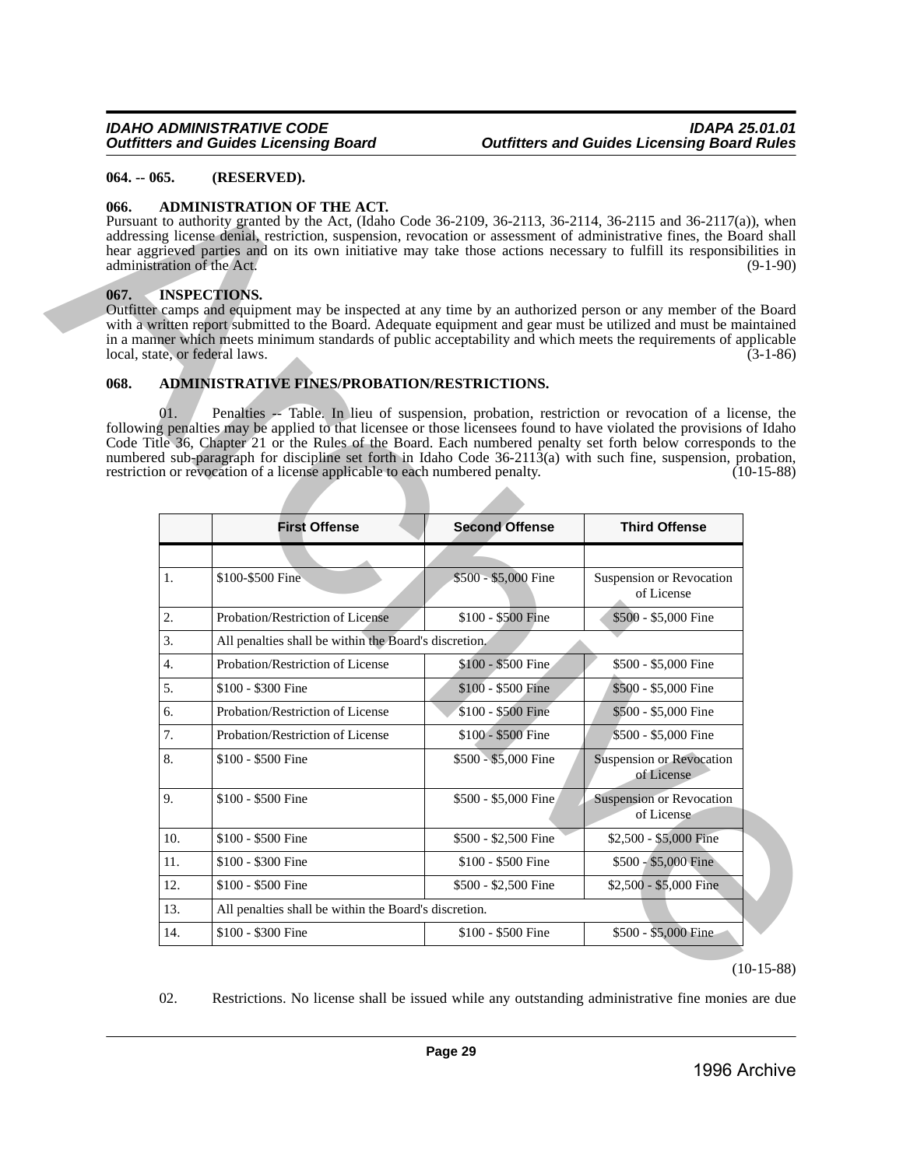### <span id="page-28-0"></span>**064. -- 065. (RESERVED).**

### <span id="page-28-1"></span>**066. ADMINISTRATION OF THE ACT.**

### <span id="page-28-2"></span>**067. INSPECTIONS.**

### <span id="page-28-3"></span>**068. ADMINISTRATIVE FINES/PROBATION/RESTRICTIONS.**

|      |     | Pursuant to authority granted by the Act, (Idaho Code 36-2109, 36-2113, 36-2114, 36-2115 and 36-2117(a)), when<br>addressing license denial, restriction, suspension, revocation or assessment of administrative fines, the Board shall<br>hear aggrieved parties and on its own initiative may take those actions necessary to fulfill its responsibilities in<br>administration of the Act.                                                                                                                                                 |                       | $(9-1-90)$                                    |
|------|-----|-----------------------------------------------------------------------------------------------------------------------------------------------------------------------------------------------------------------------------------------------------------------------------------------------------------------------------------------------------------------------------------------------------------------------------------------------------------------------------------------------------------------------------------------------|-----------------------|-----------------------------------------------|
| 067. |     | <b>INSPECTIONS.</b><br>Outfitter camps and equipment may be inspected at any time by an authorized person or any member of the Board<br>with a written report submitted to the Board. Adequate equipment and gear must be utilized and must be maintained<br>in a manner which meets minimum standards of public acceptability and which meets the requirements of applicable<br>local, state, or federal laws.                                                                                                                               |                       | $(3-1-86)$                                    |
| 068. |     | ADMINISTRATIVE FINES/PROBATION/RESTRICTIONS.                                                                                                                                                                                                                                                                                                                                                                                                                                                                                                  |                       |                                               |
|      | 01. | Penalties -- Table. In lieu of suspension, probation, restriction or revocation of a license, the<br>following penalties may be applied to that licensee or those licensees found to have violated the provisions of Idaho<br>Code Title 36, Chapter 21 or the Rules of the Board. Each numbered penalty set forth below corresponds to the<br>numbered sub-paragraph for discipline set forth in Idaho Code 36-2113(a) with such fine, suspension, probation,<br>restriction or revocation of a license applicable to each numbered penalty. |                       | $(10-15-88)$                                  |
|      |     | <b>First Offense</b>                                                                                                                                                                                                                                                                                                                                                                                                                                                                                                                          | <b>Second Offense</b> | <b>Third Offense</b>                          |
|      |     |                                                                                                                                                                                                                                                                                                                                                                                                                                                                                                                                               |                       |                                               |
|      | 1.  | \$100-\$500 Fine                                                                                                                                                                                                                                                                                                                                                                                                                                                                                                                              | \$500 - \$5,000 Fine  | Suspension or Revocation<br>of License        |
|      | 2.  | Probation/Restriction of License                                                                                                                                                                                                                                                                                                                                                                                                                                                                                                              | \$100 - \$500 Fine    | \$500 - \$5,000 Fine                          |
|      | 3.  | All penalties shall be within the Board's discretion.                                                                                                                                                                                                                                                                                                                                                                                                                                                                                         |                       |                                               |
|      | 4.  | Probation/Restriction of License                                                                                                                                                                                                                                                                                                                                                                                                                                                                                                              | \$100 - \$500 Fine    | \$500 - \$5,000 Fine                          |
|      | 5.  | \$100 - \$300 Fine                                                                                                                                                                                                                                                                                                                                                                                                                                                                                                                            | \$100 - \$500 Fine    | \$500 - \$5,000 Fine                          |
|      | 6.  | Probation/Restriction of License                                                                                                                                                                                                                                                                                                                                                                                                                                                                                                              | \$100 - \$500 Fine    | \$500 - \$5,000 Fine                          |
|      |     |                                                                                                                                                                                                                                                                                                                                                                                                                                                                                                                                               |                       |                                               |
|      | 7.  | Probation/Restriction of License                                                                                                                                                                                                                                                                                                                                                                                                                                                                                                              | \$100 - \$500 Fine    | \$500 - \$5,000 Fine                          |
|      | 8.  | \$100 - \$500 Fine                                                                                                                                                                                                                                                                                                                                                                                                                                                                                                                            | \$500 - \$5,000 Fine  | <b>Suspension or Revocation</b><br>of License |
|      | 9.  | \$100 - \$500 Fine                                                                                                                                                                                                                                                                                                                                                                                                                                                                                                                            | \$500 - \$5,000 Fine  | <b>Suspension or Revocation</b><br>of License |
|      | 10. | \$100 - \$500 Fine                                                                                                                                                                                                                                                                                                                                                                                                                                                                                                                            | \$500 - \$2,500 Fine  | \$2,500 - \$5,000 Fine                        |
|      | 11. | \$100 - \$300 Fine                                                                                                                                                                                                                                                                                                                                                                                                                                                                                                                            | \$100 - \$500 Fine    | \$500 - \$5,000 Fine                          |
|      | 12. | \$100 - \$500 Fine                                                                                                                                                                                                                                                                                                                                                                                                                                                                                                                            | \$500 - \$2,500 Fine  | \$2,500 - \$5,000 Fine                        |
|      | 13. | All penalties shall be within the Board's discretion.                                                                                                                                                                                                                                                                                                                                                                                                                                                                                         |                       |                                               |

02. Restrictions. No license shall be issued while any outstanding administrative fine monies are due